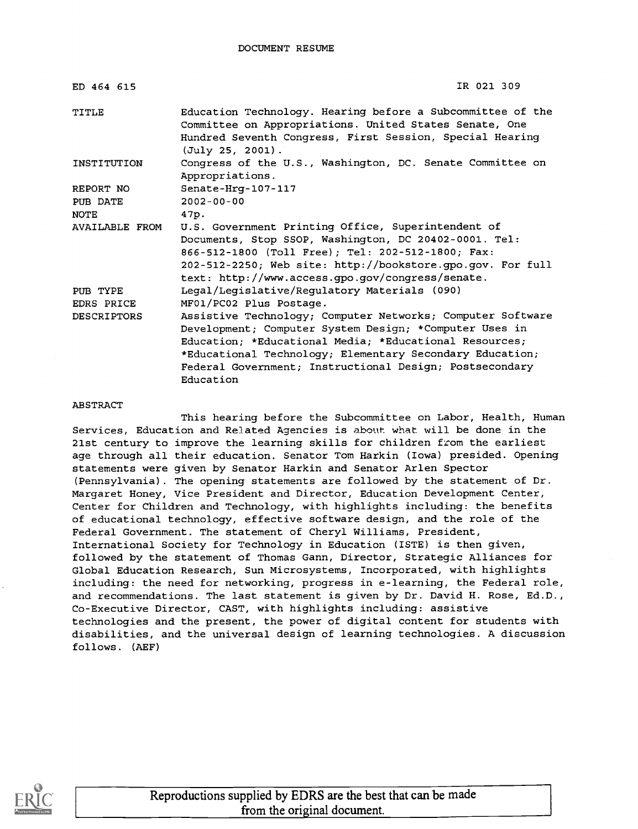| IR 021 309                                                                                                                                                                                                                                                                                                                                    |
|-----------------------------------------------------------------------------------------------------------------------------------------------------------------------------------------------------------------------------------------------------------------------------------------------------------------------------------------------|
| Education Technology. Hearing before a Subcommittee of the<br>Committee on Appropriations. United States Senate, One<br>Hundred Seventh Congress, First Session, Special Hearing<br>(July 25, 2001).                                                                                                                                          |
| Congress of the U.S., Washington, DC. Senate Committee on<br>Appropriations.                                                                                                                                                                                                                                                                  |
| Senate-Hrg-107-117                                                                                                                                                                                                                                                                                                                            |
| $2002 - 00 - 00$                                                                                                                                                                                                                                                                                                                              |
| 47p.                                                                                                                                                                                                                                                                                                                                          |
| U.S. Government Printing Office, Superintendent of<br>Documents, Stop SSOP, Washington, DC 20402-0001. Tel:<br>866-512-1800 (Toll Free); Tel: 202-512-1800; Fax:<br>202-512-2250; Web site: http://bookstore.gpo.gov. For full                                                                                                                |
| text: http://www.access.gpo.gov/congress/senate.                                                                                                                                                                                                                                                                                              |
| Legal/Legislative/Regulatory Materials (090)                                                                                                                                                                                                                                                                                                  |
| MF01/PC02 Plus Postage.<br>Assistive Technology; Computer Networks; Computer Software<br>Development; Computer System Design; *Computer Uses in<br>Education; *Educational Media; *Educational Resources;<br>*Educational Technology; Elementary Secondary Education;<br>Federal Government; Instructional Design; Postsecondary<br>Education |
|                                                                                                                                                                                                                                                                                                                                               |

# ABSTRACT

This hearing before the Subcommittee on Labor, Health, Human Services, Education and Related Agencies is about what will be done in the 21st century to improve the learning skills for children from the earliest age through all their education. Senator Tom Harkin (Iowa) presided. Opening statements were given by Senator Harkin and Senator Arlen Spector (Pennsylvania). The opening statements are followed by the statement of Dr. Margaret Honey, Vice President and Director, Education Development Center, Center for Children and Technology, with highlights including: the benefits of educational technology, effective software design, and the role of the Federal Government. The statement of Cheryl Williams, President, International Society for Technology in Education (ISTE) is then given, followed by the statement of Thomas Gann, Director, Strategic Alliances for Global Education Research, Sun Microsystems, Incorporated, with highlights including: the need for networking, progress in e-learning, the Federal role, and recommendations. The last statement is given by Dr. David H. Rose, Ed.D., Co-Executive Director, CAST, with highlights including: assistive technologies and the present, the power of digital content for students with disabilities, and the universal design of learning technologies. A discussion follows. (AEF)

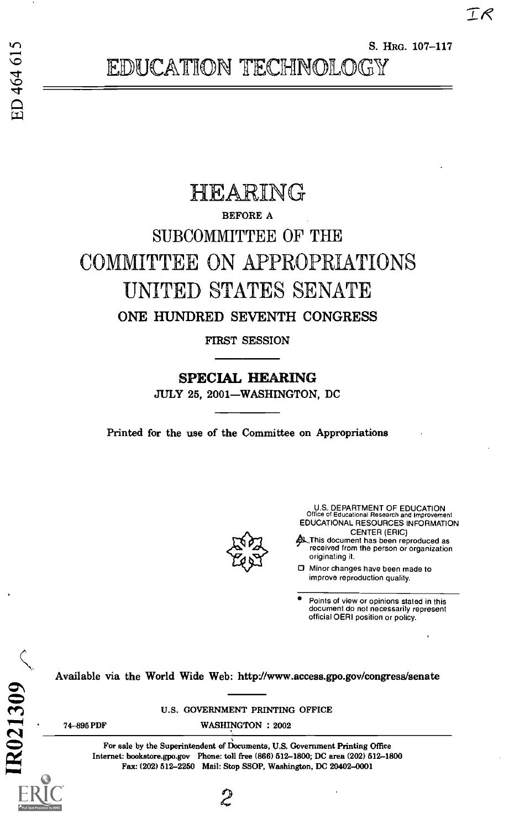S. HRG. 107-117

# HEARING BEFORE A SUBCOMMITTEE OF THE COMMITTEE ON APPROPRIATIONS UNITED STATES SENATE ONE HUNDRED SEVENTH CONGRESS

FIRST SESSION

SPECIAL HEARING

JULY 25, 2001-WASHINGTON, DC

Printed for the use of the Committee on Appropriations



U.S. DEPARTMENT OF EDUCATION Office of Educational Research and Improvement EDUCATIONAL RESOURCES INFORMATION CENTER (ERIC)

This document has been reproduced as received from the person or organization originating it.

o Minor changes have been made to improve reproduction quality.

Points of view or opinions stated in this document do not necessarily represent official OERI position or policy.

Available via the World Wide Web: http://www.access.gpo.gov/congress/senate

U.S. GOVERNMENT PRINTING OFFICE

74-895 PDF WASHINGTON : 2002

For sale by the Superintendent of Documents, U.S. Government Printing Office Internet: bookstore.gpo.gov Phone: toll free (866) 512-1800; DC area (202) 512-1800 Available via the World Wide Web: http://www.access.gpo.gov/co<br>
U.S. GOVERNMENT PRINTING OFFICE<br>
T4-895 PDF WASHINGTON : 2002<br>
For sale by the Superintendent of Documents, U.S. Government Printing (<br>
Internet: bookstore.gp

2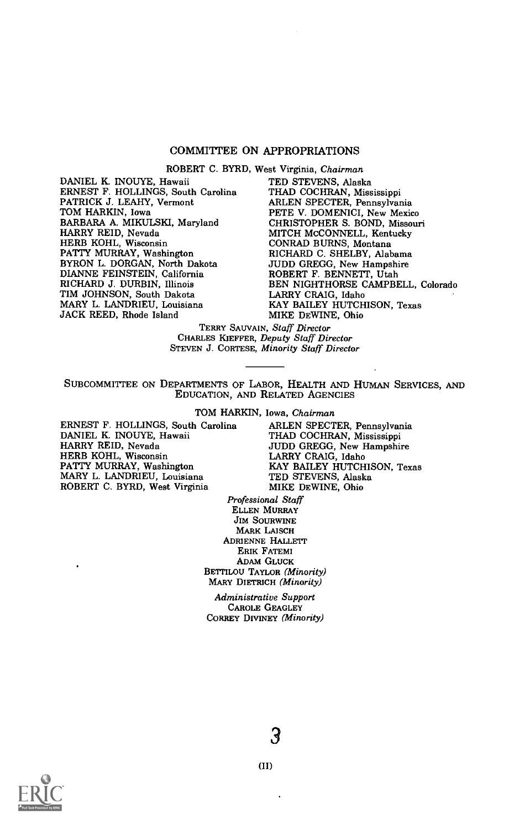# COMMITTEE ON APPROPRIATIONS

ROBERT C. BYRD, West Virginia, Chairman

DANIEL K. INOUYE, Hawaii ERNEST F. HOLLINGS, South Carolina PATRICK J. LEAHY, Vermont TOM HARKIN, Iowa BARBARA A. MIKULSKI, Maryland HARRY REID, Nevada HERB KOHL, Wisconsin PATTY MURRAY, Washington BYRON L. DORGAN, North Dakota DIANNE FEINSTEIN, California RICHARD J. DURBIN, Illinois TIM JOHNSON, South Dakota MARY L. LANDRIEU, Louisiana JACK REED, Rhode Island

TED STEVENS, Alaska THAD COCHRAN, Mississippi ARLEN SPECTER, Pennsylvania PETE V. DOMENICI, New Mexico CHRISTOPHER S. BOND, Missouri MITCH McCONNELL, Kentucky CONRAD BURNS, Montana RICHARD C. SHELBY, Alabama JUDD GREGG, New Hampshire ROBERT F. BENNETT, Utah BEN NIGHTHORSE CAMPBELL, Colorado LARRY CRAIG, Idaho KAY BAILEY HUTCHISON, Texas MIKE DEWINE, Ohio

TERRY SAUVAIN, Staff Director CHARLES KIEFFER, Deputy Staff Director STEVEN J. CORTESE, Minority Staff Director

SUBCOMMITTEE ON DEPARTMENTS OF LABOR, HEALTH AND HUMAN SERVICES, AND EDUCATION, AND RELATED AGENCIES

TOM HARKIN, Iowa, Chairman

ERNEST F. HOLLINGS, South Carolina DANIEL K. INOUYE, Hawaii HARRY REID, Nevada HERB KOHL, Wisconsin PATTY MURRAY, Washington MARY L. LANDRIEU, Louisiana ROBERT C. BYRD, West Virginia

ARLEN SPECTER, Pennsylvania THAD COCHRAN, Mississippi JUDD GREGG, New Hampshire LARRY CRAIG, Idaho KAY BAILEY HUTCHISON, Texas TED STEVENS, Alaska MIKE DEWINE, Ohio

Professional Staff ELLEN MURRAY JIM SOURWINE MARK LAISCH ADRIENNE HALLETT ERIK FATEMI ADAM GLUCK BETTILOU TAYLOR (Minority) MARY DIETRICH (Minority)

Administrative Support CAROLE GEAGLEY CORREY DIVINEY (Minority)

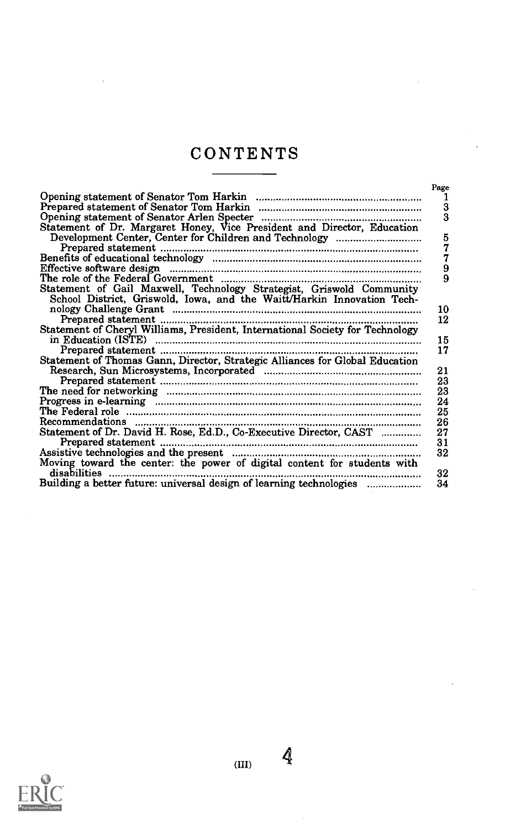# CONTENTS

|                                                                                        | Page          |
|----------------------------------------------------------------------------------------|---------------|
|                                                                                        | 1             |
|                                                                                        | $\frac{3}{3}$ |
|                                                                                        |               |
| Statement of Dr. Margaret Honey, Vice President and Director, Education                |               |
|                                                                                        | 5             |
|                                                                                        | 7             |
|                                                                                        | 7             |
|                                                                                        | 9             |
|                                                                                        | 9             |
| Statement of Gail Maxwell, Technology Strategist, Griswold Community                   |               |
| School District, Griswold, Iowa, and the Waitt/Harkin Innovation Tech-                 |               |
|                                                                                        | 10            |
|                                                                                        | 12            |
| Statement of Cheryl Williams, President, International Society for Technology          |               |
|                                                                                        | 15            |
|                                                                                        | 17            |
| Statement of Thomas Gann, Director, Strategic Alliances for Global Education           |               |
| Research, Sun Microsystems, Incorporated <b>Manual According to According Contract</b> | 21            |
|                                                                                        | 23            |
|                                                                                        |               |
|                                                                                        | 23            |
|                                                                                        | 24            |
| The Federal role …………………………………………………………………………………………                                    | 25            |
|                                                                                        | 26            |
| Statement of Dr. David H. Rose, Ed.D., Co-Executive Director, CAST                     | 27            |
|                                                                                        | 31            |
|                                                                                        | 32            |
| Moving toward the center: the power of digital content for students with               |               |
| disabilities                                                                           | 32            |
| Building a better future: universal design of learning technologies                    | 34            |

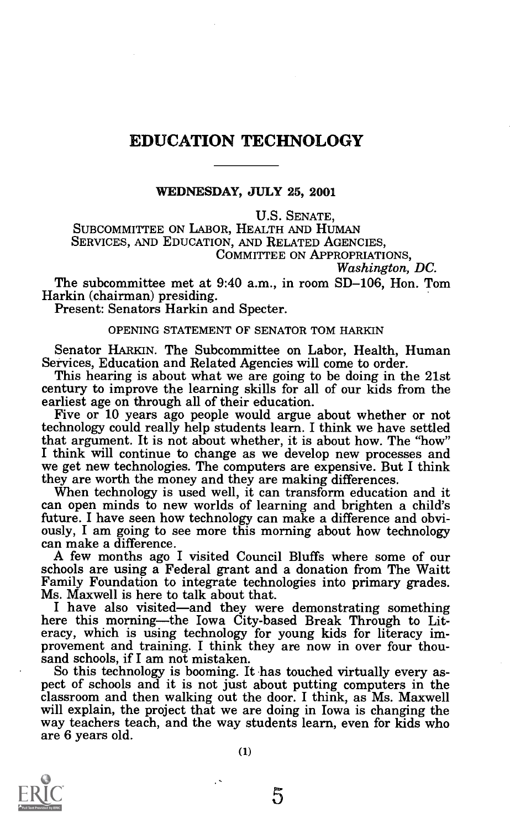# EDUCATION TECHNOLOGY

WEDNESDAY, JULY 25, 2001

U.S. SENATE,

SUBCOMMITTEE ON LABOR, HEALTH AND HUMAN SERVICES, AND EDUCATION, AND RELATED AGENCIES, COMMITTEE ON APPROPRIATIONS.

Washington, DC.

The subcommittee met at 9:40 a.m., in room SD-106, Hon. Tom

Present: Senators Harkin and Specter.

# OPENING STATEMENT OF SENATOR TOM HARKIN

Senator HARKIN. The Subcommittee on Labor, Health, Human Services, Education and Related Agencies will come to order.

This hearing is about what we are going to be doing in the 21st century to improve the learning skills for all of our kids from the earliest age on through all of their education.

Five or 10 years ago people would argue about whether or not technology could really help students learn. I think we have settled that argument. It is not about whether, it is about how. The "how" I think will continue to change as we develop new processes and we get new technologies. The computers are expensive. But I think

When technology is used well, it can transform education and it can open minds to new worlds of learning and brighten a child's future. I have seen how technology can make a difference and obviously, I am going to see more this morning about how technology can make a difference.<br>A few months ago I visited Council Bluffs where some of our

schools are using a Federal grant and a donation from The Waitt<br>Family Foundation to integrate technologies into primary grades.<br>Ms. Maxwell is here to talk about that.

I have also visited—and they were demonstrating something here this morning—the Iowa City-based Break Through to Literacy, which is using technology for young kids for literacy im-<br>provement and training. I think they are now in over four thou-<br>sand schools, if I am not mistaken.<br>So this technology is booming. It has touched virtually e

pect of schools and it is not just about putting computers in the classroom and then walking out the door. I think, as Ms. Maxwell will explain, the project that we are doing in Iowa is changing the way teachers teach, and the way students learn, even for kids who are 6 years old.

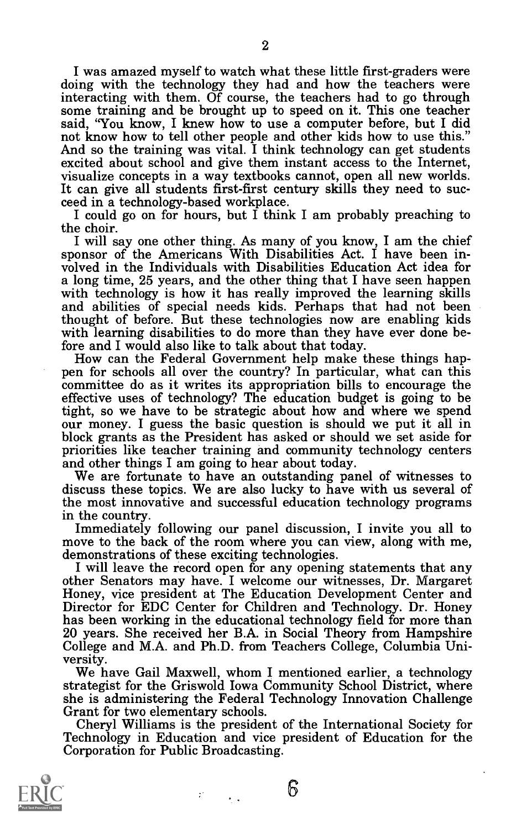I was amazed myself to watch what these little first-graders were doing with the technology they had and how the teachers were interacting with them. Of course, the teachers had to go through some training and be brought up to speed on it. This one teacher said, "You know, I knew how to use a computer before, but I did not know how to tell other people and other kids how to use this." And so the training was vital. I think technology can get students<br>excited about school and give them instant access to the Internet,<br>visualize concepts in a way textbooks cannot, open all new worlds.<br>It can give all stude

the choir.

I will say one other thing. As many of you know, I am the chief sponsor of the Americans With Disabilities Act. I have been in-<br>volved in the Individuals with Disabilities Education Act idea for<br>a long time, 25 years, and with technology is how it has really improved the learning skills and abilities of special needs kids. Perhaps that had not been thought of before. But these technologies now are enabling kids with learning disabilities to do more than they have ever done be-<br>fore and I would also like to talk about that today.

How can the Federal Government help make these things happen for schools all over the country? In particular, what can this committee do as it writes its appropriation bills to encourage the effective uses of technology? The education budget is going to be tight, so we have to be strategic about how and where we spend our money. I guess the basic question is should we put it all in block grants as the President has asked or should we set aside for<br>priorities like teacher training and community technology centers<br>and other things I am going to hear about today.<br>We are fortunate to have an outstanding

discuss these topics. We are also lucky to have with us several of the most innovative and successful education technology programs

Immediately following our panel discussion, I invite you all to<br>move to the back of the room where you can view, along with me,<br>demonstrations of these exciting technologies.<br>I will leave the record open for any opening st 20 years. She received her B.A. in Social Theory from Hampshire College and M.A. and Ph.D. from Teachers College, Columbia University.<br>We have Gail Maxwell, whom I mentioned earlier, a technology

strategist for the Griswold Iowa Community School District, where she is administering the Federal Technology Innovation Challenge

Grant for two elementary schools.<br>Cheryl Williams is the president of the International Society for<br>Technology in Education and vice president of Education for the<br>Corporation for Public Broadcasting.

 $\epsilon_{\rm{max}}$ 

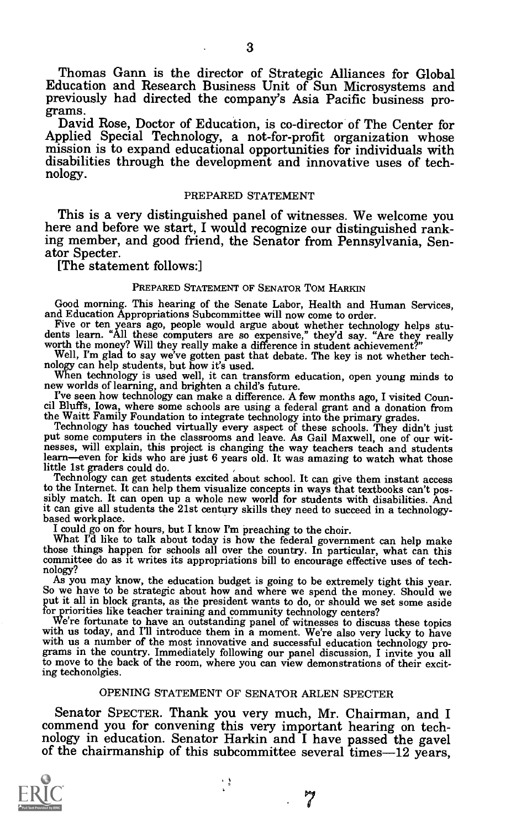Thomas Gann is the director of Strategic Alliances for Global Education and Research Business Unit of Sun Microsystems and previously had directed the company's Asia Pacific business pro-

David Rose, Doctor of Education, is co-director of The Center for Applied Special Technology, a not-for-profit organization whose mission is to expand educational opportunities for individuals with disabilities through the

# PREPARED STATEMENT

This is a very distinguished panel of witnesses. We welcome you here and before we start, I would recognize our distinguished ranking member, and good friend, the Senator from Pennsylvania, Sen- ator Specter.

# [The statement follows:]

# PREPARED STATEMENT OF SENATOR Tom HARKIN

Good morning. This hearing of the Senate Labor, Health and Human Services, and Education Appropriations Subcommittee will now come to order. Five or ten years ago, people would argue about whether technology helps studient

new worlds of learning, and brighten a child's future.

I've seen how technology can make a difference. A few months ago, I visited Coun-<br>cil Bluffs, Iowa, where some schools are using a federal grant and a donation from

cil Bluffs, Iowa, where some schools are using a federal grant and a donation from<br>the Waitt Family Foundation to integrate technology into the primary grades.<br>Technology has touched virtually every aspect of these schools hesses, will explain, this project is changing the way teachers teach and students learn-even for kids who are just 6 years old. It was amazing to watch what those little 1st graders could do.

Technology can get students excited about school. It can give them instant access to the Internet. It can help them visualize concepts in ways that textbooks can't possibly match. It can open up a whole new world for students with disabilities. And it can give all students the 21st century skills they n

based workplace.<br>I could go on for hours, but I know I'm preaching to the choir.<br>What I'd like to talk about today is how the federal government can help make those things happen for schools all over the country. In particular, what can this committee do as it writes its appropriations bill to encourage effective uses of tech- nology?<br>As you may know, the education budget is goi

So we have to be strategic about how and where we spend the money. Should we put it all in block grants, as the president wants to do, or should we set some aside for priorities like teacher training and community technolo

for priorities like teacher training and community technology centers?<br>We're fortunate to have an outstanding panel of witnesses to discuss these topics<br>with us today, and I'll introduce them in a moment. We're also very l ing techonolgies.

# OPENING STATEMENT OF SENATOR ARLEN SPECTER

Senator SPECTER. Thank you very much, Mr. Chairman, and I commend you for convening this very important hearing on technology in education. Senator Harkin and I have passed the gavel of the chairmanship of this subcommitte

・き

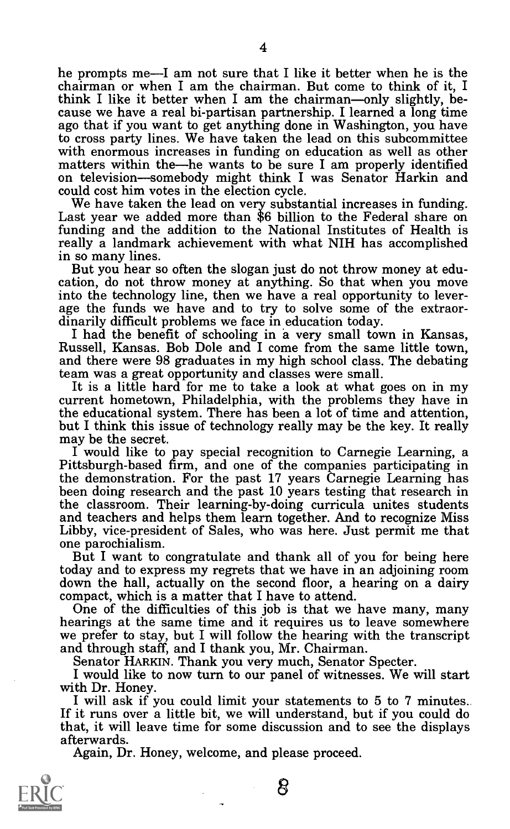he prompts me—I am not sure that I like it better when he is the chairman or when I am the chairman. But come to think of it, I think I like it better when I am the chairman—only slightly, be-<br>cause we have a real bi-partisan partnership. I learned a long time ago that if you want to get anything done in Washington, you have with enormous increases in funding on education as well as other matters within the—he wants to be sure I am properly identified on television—somebody might think I was Senator Harkin and could cost him votes in the elect

We have taken the lead on very substantial increases in funding.<br>Last year we added more than \$6 billion to the Federal share on funding and the addition to the National Institutes of Health is really a landmark achievement with what NIH has accomplished

But you hear so often the slogan just do not throw money at edu-<br>cation, do not throw money at anything. So that when you move<br>into the technology line, then we have a real opportunity to leverage the funds we have and to try to solve some of the extraor-<br>dinarily difficult problems we face in education today.<br>I had the benefit of schooling in a very small town in Kansas,<br>Russell. Kansas. Bob Dole and I come fro

and there were 98 graduates in my high school class. The debating

It is a little hard for me to take a look at what goes on in my current hometown, Philadelphia, with the problems they have in the educational system. There has been a lot of time and attention,

but I think this issue of technology really may be the key. It really<br>may be the secret.<br>I would like to pay special recognition to Carnegie Learning, a<br>Pittsburgh-based firm, and one of the companies participating in<br>the been doing research and the past 10 years testing that research in<br>the classroom. Their learning-by-doing curricula unites students and teachers and helps them learn together. And to recognize Miss<br>Libby, vice-president of Sales, who was here. Just permit me that<br>one parochialism.<br>But I want to congratulate and thank all of you for being here

today and to express my regrets that we have in an adjoining room down the hall, actually on the second floor, a hearing on a dairy<br>compact, which is a matter that I have to attend.

One of the difficulties of this job is that we have many, many<br>hearings at the same time and it requires us to leave somewhere we prefer to stay, but I will follow the hearing with the transcript<br>and through staff, and I thank you, Mr. Chairman.<br>Senator HARKIN. Thank you very much, Senator Specter.<br>I would like to now turn to our panel of witnesse

that, it will leave time for some discussion and to see the displays afterwards.

Again, Dr. Honey, welcome, and please proceed.

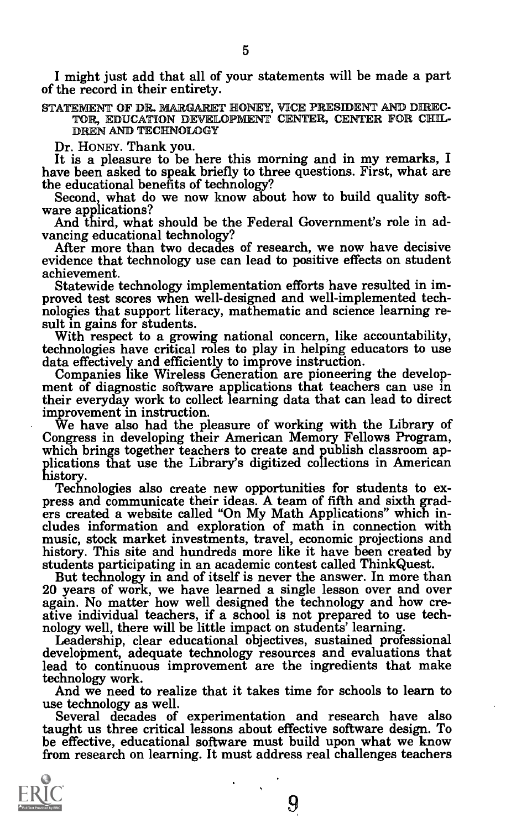I might just add that all of your statements will be made a part of the record in their entirety.

STATEMENT OF DR. MARGARET HONEY, VICE RESIDENT AND DIREC-TOR, EDUCATION DEVELOPMENT CENTER, CENTER FOR CHIL-DREN AND TECHNOLOGY

Dr. HONEY. Thank you.<br>It is a pleasure to be here this morning and in my remarks, I<br>have been asked to speak briefly to three questions. First, what are<br>the educational benefits of technology?

Second, what do we now know about how to build quality soft-<br>ware applications?<br>And third, what should be the Federal Government's role in ad-<br>vancing educational technology?

After more than two decades of research, we now have decisive evidence that technology use can lead to positive effects on student achievement.

proved test scores when well-designed and well-implemented technologies that support literacy, mathematic and science learning result in gains for students.<br>With respect to a growing national concern, like accountability,

their everyday work to collect learning data that can lead to direct

We have also had the pleasure of working with the Library of Congress in developing their American Memory Fellows Program, which brings together teachers to create and publish classroom applications that use the Library's

Technologies also create new opportunities for students to express and communicate their ideas. A team of fifth and sixth graders created a website called "On My Math Applications" which includes information and exploratio

But technology in and of itself is never the answer. In more than 20 years of work, we have learned a single lesson over and over again. No matter how well designed the technology and how creative individual teachers, if a

And we need to realize that it takes time for schools to learn to use technology as well.

Several decades of experimentation and research have also taught us three critical lessons about effective software design. To be effective, educational software must build upon what we know from research on learning. It must address real challenges teachers

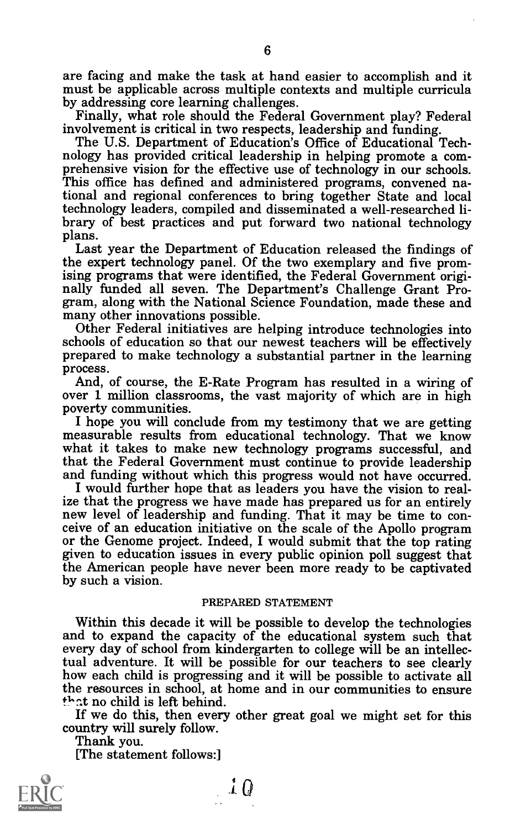are facing and make the task at hand easier to accomplish and it<br>must be applicable across multiple contexts and multiple curricula<br>by addressing core learning challenges.<br>Finally, what role should the Federal Government p

The U.S. Department of Education's Office of Educational Technology has provided critical leadership in helping promote a comprehensive vision for the effective use of technology in our schools. This office has defined and tional and regional conferences to bring together State and local technology leaders, compiled and disseminated a well-researched li- brary of best practices and put forward two national technology plans.

Last year the Department of Education released the findings of the expert technology panel. Of the two exemplary and five promising programs that were identified, the Federal Government originally funded all seven. The Department's Challenge Grant Program, along with the National Science Foundation, made these and many other innovations possible.<br>Other Federal initiatives are helping introduce technologies int

prepared to make technology a substantial partner in the learning process.<br>And, of course, the E-Rate Program has resulted in a wiring of

over 1 million classrooms, the vast majority of which are in high poverty communities.

I hope you will conclude from my testimony that we are getting measurable results from educational technology. That we know what it takes to make new technology programs successful, and that the Federal Government must continue to provide leadership<br>and funding without which this progress would not have occurred.

I would further hope that as leaders you have the vision to real-<br>ize that the progress we have made has prepared us for an entirely new level of leadership and funding. That it may be time to conceive of an education initiative on the scale of the Apollo program or the Genome project. Indeed, I would submit that the top rating given to education issues in every public opinion poll suggest that the American people have never been more ready to be captivated by such a vision.

# PREPARED STATEMENT

Within this decade it will be possible to develop the technologies and to expand the capacity of the educational system such that every day of school from kindergarten to college will be an intellectual adventure. It will be possible for our teachers to see clearly how each child is progressing and it will be possible to activate all the resources in school, at home and in our communities to ensure  $that$  no child is left behind.

If we do this, then every other great goal we might set for this country will surely follow. Thank you.

[The statement follows:]



 $\downarrow$   $\downarrow$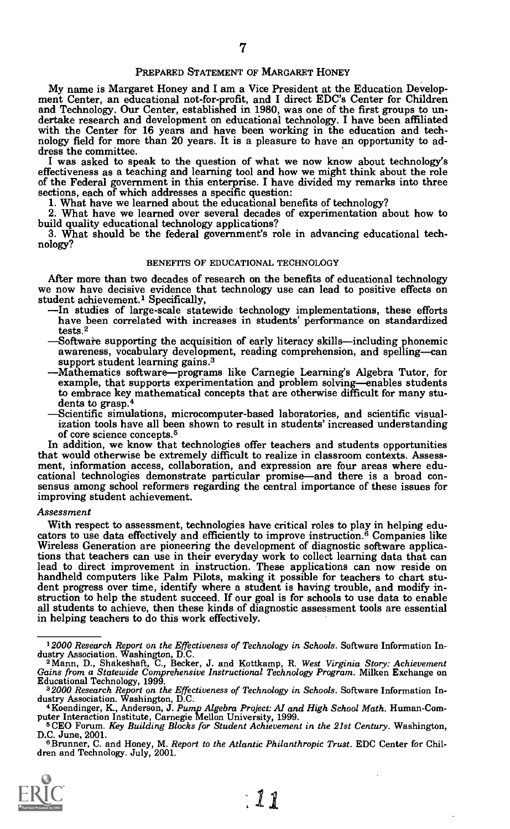# PREPARED STATEMENT OF MARGARET HONEY

My name is Margaret Honey and I am a Vice President at the Education Development Center, an educational not-for-profit, and I direct EDC's Center for Children and Technology. Our Center, established in 1980, was one of the dertake research and development on educational technology. I have been affiliated with the Center for 16 years and have been working in the education and technology field for more than 20 years. It is a pleasure to have a

I was asked to speak to the question of what we now know about technology's effectiveness as a teaching and learning tool and how we might think about the role of the Federal government in this enterprise. I have divided m

1. What have we learned about the educational benefits of technology?<br>2. What have we learned over several decades of experimentation about how to<br>build quality educational technology applications?

3. What should be the federal government's role in advancing educational tech- nology?

# BENEFITS OF EDUCATIONAL TECHNOLOGY

After more than two decades of research on the benefits of educational technology we now have decisive evidence that technology use can lead to positive effects on student achievement.<sup>1</sup> Specifically,

- In studies of large-scale statewide technology implementations, these efforts have been correlated with increases in students' performance on standardized tests.2
- Software supporting the acquisition of early literacy skills—including phonemic awareness, vocabulary development, reading comprehension, and spelling-can support student learning gains.<sup>3</sup>
- -Mathematics software—programs like Carnegie Learning's Algebra Tutor, for example, that supports experimentation and problem solving—enables students to embrace key mathematical concepts that are otherwise difficult for many stu-<br>dents to grasp.<sup>4</sup><br>Scientific simulations, microcomputer-based laboratories, and scientific visual
	- ization tools have all been shown to result in students' increased understanding of core science concepts.5

In addition, we know that technologies offer teachers and students opportunities that would otherwise be extremely difficult to realize in classroom contexts. Assessment, information access, collaboration, and expression are four areas where educational technologies demonstrate particular promise—and there is a broad consensus among school reformers regarding the central importance of improving student achievement.

## Assessment

With respect to assessment, technologies have critical roles to play in helping educators to use data effectively and efficiently to improve instruction.<sup>6</sup> Companies like Wireless Generation are pioneering the development tions that teachers can use in their everyday work to collect learning data that can lead to direct improvement in instruction. These applications can now reside on handheld computers like Palm Pilots, making it possible for teachers to chart stu-<br>dent progress over time, identify where a student is having trouble, and modify in-<br>struction to help the student succeed. If our goal is f all students to achieve, then these kinds of diagnostic assessment tools are essential in helping teachers to do this work effectively.

<sup>&</sup>lt;sup>6</sup>Brunner, C. and Honey, M. Report to the Atlantic Philanthropic Trust. EDC Center for Chil-<br>dren and Technology. July, 2001.



<sup>12000</sup> Research Report on the Effectiveness of Technology in Schools. Software Information Industry Association. Washington, D.C. Than Kottkamp, R. West Virginia Story: Achievement Gains from a Statewide Comprehensive Inst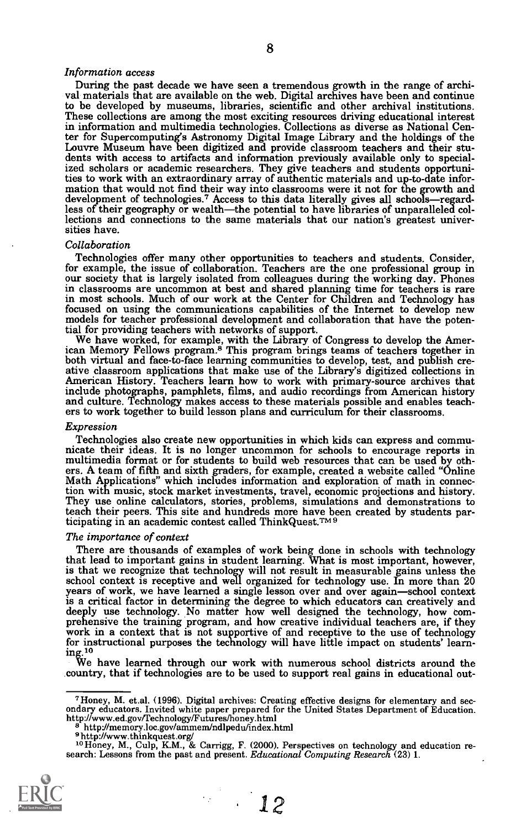## Information access

During the past decade we have seen a tremendous growth in the range of archival materials that are available on the web. Digital archives have been and continue to be developed by museums, libraries, scientific and other to be developed by museums, libraries, scientific and other archival institutions. These collections are among the most exciting resources driving educational interest in information and multimedia technologies. Collections as diverse as National Center for Supercomputing's Astronomy Digital Image Library and the holdings of the Louvre Museum have been digitized and provide classroom tea dents with access to artifacts and information previously available only to special-<br>ized scholars or academic researchers. They give teachers and students opportuni-<br>ties to work with an extraordinary array of authentic m mation that would not find their way into classrooms were it not for the growth and development of technologies.<sup>7</sup> Access to this data literally gives all schools—regard-<br>less of their geography or wealth—the potential to have libraries of unparalleled collections and connections to the same materials that our nation's greatest univer- sities have.

#### Collaboration

Technologies offer many other opportunities to teachers and students. Consider, for example, the issue of collaboration. Teachers are the one professional group in our society that is largely isolated from colleagues during the working day. Phones in classrooms are uncommon at best and shared planning time for teachers is rare in most schools. Much of our work at the Center for Children and Technology has<br>focused on using the communications capabilities of the Internet to develop new models for teacher professional development and collaboration that have the potential for providing teachers with networks of support.

tial for providing teachers with networks of support. We have worked, for example, with the Library of Congress to develop the American Memory Fellows program.<sup>8</sup> This program brings teams of teachers together in both virtual and face-to-face learning communities to develop, test, and publish creative classroom applications that make use of the Library's digitized collections in American History. Teachers learn how to work with pri include photographs, pamphlets, films, and audio recordings from American history and culture. Technology makes access to these materials possible and enables teach- ers to work together to build lesson plans and curriculum for their classrooms.

#### Expression

Technologies also create new opportunities in which kids can express and communicate their ideas. It is no longer uncommon for schools to encourage reports in multimedia format or for students to build web resources that c They use online calculators, stories, problems, simulations and demonstrations to teach their peers. This site and hundreds more have been created by students participating in an academic contest called ThinkQuest.TM9

#### The importance of context

There are thousands of examples of work being done in schools with technology that lead to important gains in student learning. What is most important, however, that lead to important gains in student learning. What is most important, however, is that we recognize that technology will not result in measurable gains unless the school context is receptive and well organized for technology use. In more than 20 years of work, we have learned a single lesson over and over again—school context is a critical factor in determining the degree to which educators can creatively and deeply use technology. No matter how well designed the technology, how comprehensive the training program, and how creative individual te for instructional purposes the technology will have liftle impact on students' learning.<sup>10</sup>

We have learned through our work with numerous school districts around the country, that if technologies are to be used to support real gains in educational out-



 $\frac{12}{2}$ 

<sup>&</sup>lt;sup>7</sup> Honey, M. et.al. (1996). Digital archives: Creating effective designs for elementary and secondary elucators. Invited white paper prepared for the United States Department of Education.<br>http://www.ed.gov/Technology/Fu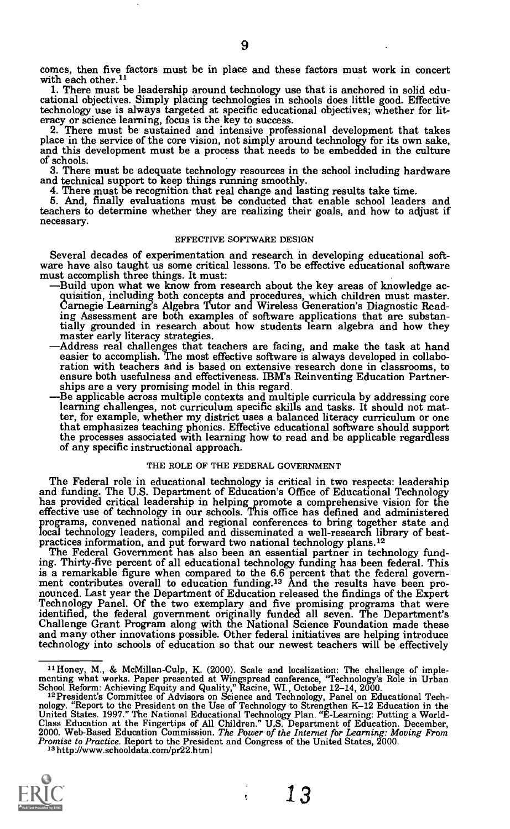comes, then five factors must be in place and these factors must work in concert with each other.<sup>11</sup><br>1. There must be leadership around technology use that is anchored in solid edu-

1. There must be leadership around technology use that is anchored in solid edu- cational objectives. Simply placing technologies in schools does little good. Effective

eracy or science learning, focus is the key to success.<br>2. There must be sustained and intensive professional development that takes<br>place in the service of the core vision, not simply around technology for its own sake,<br>a of schools.

3. There must be adequate technology resources in the school including hardware

4. There must be recognition that real change and lasting results take time.<br>5. And, finally evaluations must be conducted that enable school leaders and teachers to determine whether they are realizing their goals, and how to adjust if necessary.

# EFFECTIVE SOFTWARE DESIGN

Several decades of experimentation and research in developing educational software have also taught us some critical lessons. To be effective educational software must accomplish three things. It must:<br>must accomplish thre

- ing Assessment are both examples of software applications that are substantially grounded in research about how students learn algebra and how they
- master early literacy strategies.<br>Address real challenges that teachers are facing, and make the task at hand<br>easier to accomplish. The most effective software is always developed in collaboration with teachers and is based on extensive research done in classrooms, to ensure both usefulness and effectiveness. IBM's Reinventing Education Partnerships are a very promising model in this regard.<br>Be applicable across multiple contexts and multiple curricula by addressing core
- learning challenges, not curriculum specific skills and tasks. It should not matter, for example, whether my district uses a balanced literacy curriculum or one the processes associated with learning how to read and be applicable regardless of any specific instructional approach.

# THE ROLE OF THE FEDERAL GOVERNMENT

The Federal role in educational technology is critical in two respects: leadership<br>and funding. The U.S. Department of Education's Office of Educational Technology<br>has provided critical leadership in helping promote a comp effective use of technology in our schools. This office has defined and administered programs, convened national and regional conferences to bring together state and

local technology leaders, compiled and disseminated a well-research library of best-<br>practices information, and put forward two national technology plans.<sup>12</sup><br>The Federal Government has also been an essential partner in te is a remarkable figure when compared to the 6.6 percent that the federal government contributes overall to education funding.<sup>13</sup> And the results have been pronounced. Last year the Department of Education released the fin identified, the federal government originally funded all seven. The Department's<br>Challenge Grant Program along with the National Science Foundation made these<br>and many other innovations possible. Other federal initiatives technology into schools of education so that our newest teachers will be effectively

ŧ



<sup>&</sup>lt;sup>11</sup> Honey, M., & McMillan-Culp, K. (2000). Scale and localization: The challenge of implementing what works. Paper presented at Wingspread conference, "Technology's Role in Urban School Reform: Achieving Equity and Quali Pro*mise to Practice*. Report to the President and Congress of the United States, 2000. <sup>13</sup><br><sup>13</sup> http://www.schooldata.com/pr22.html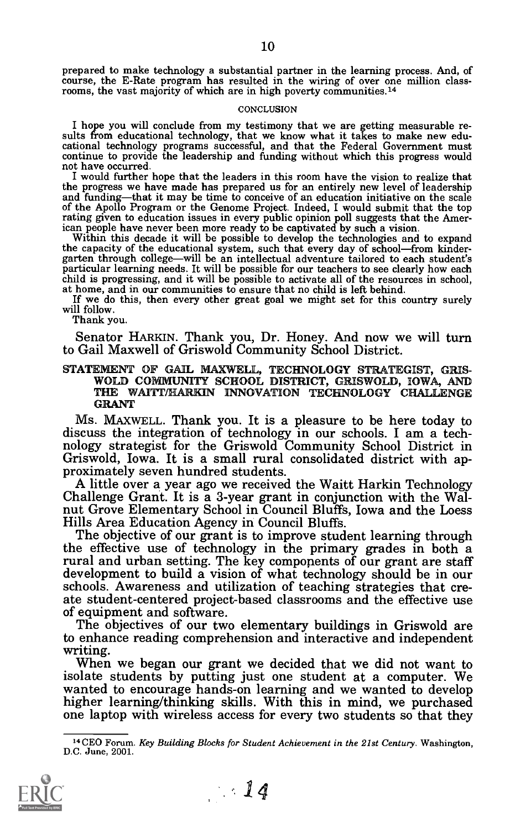## **CONCLUSION**

I hope you will conclude from my testimony that we are getting measurable results from educational technology, that we know what it takes to make new educational technology programs successful, and that the Federal Governm not have occurred.

I would further hope that the leaders in this room have the vision to realize that the progress we have made has prepared us for an entirely new level of leadership and funding—that it may be time to conceive of an education initiative on the scale of the Apollo Program or the Genome Project. Indeed, I would submit that the top rating given to education issues in every public opinion poll suggests that the American people have never been more ready to be captivated by such a vision.<br>Within this decade it will be possible to develop the technologi

Within this decade it will be possible to develop the technologies and to expand<br>the capacity of the educational system, such that every day of school—from kinder-<br>garten through college—will be an intellectual adventure t

at home, and in our communities to ensure that no child is left behind.<br>If we do this, then every other great goal we might set for this country surely<br>will follow.

Thank you.

Senator HARKIN. Thank you, Dr. Honey. And now we will turn to Gail Maxwell of Griswold Community School District.

STATEMENT OF GAIL MAXWELL, TECHNOLOGY STRATEGIST, GRIS-WOLD COMMUNITY SCHOOL DISTRICT, GRISWOLD, IOWA, AND THE WAITT/HARKIN INNOVATION TECHNOLOGY CHALLENGE GRANT

Ms. MAXWELL. Thank you. It is a pleasure to be here today to discuss the integration of technology in our schools. I am a technology strategist for the Griswold Community School District in Griswold, Iowa. It is a small ru

the effective use of technology in the primary grades in both a rural and urban setting. The key components of our grant are staff development to build a vision of what technology should be in our schools. Awareness and utilization of teaching strategies that create student-centered project-based classrooms and the effective use of equipment and softw

writing.<br>When we began our grant we decided that we did not want to<br>isolate students by putting just one student at a computer. We wanted to encourage hands-on learning and we wanted to develop<br>higher learning/thinking skills. With this in mind, we purchased one laptop with wireless access for every two students so that they



<sup>&</sup>lt;sup>14</sup> CEO Forum. Key Building Blocks for Student Achievement in the 21st Century. Washington, D.C. June, 2001.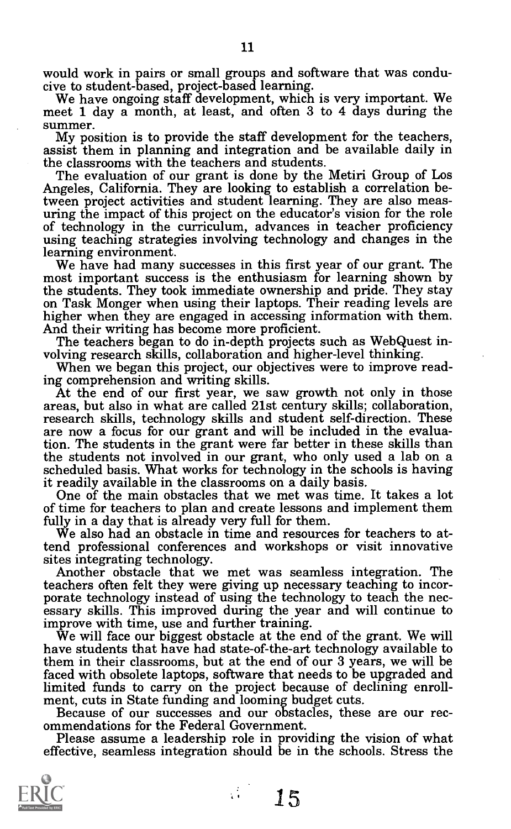would work in pairs or small groups and software that was conducive to student-based, project-based learning.<br>We have ongoing staff development, which is very important. We meet 1 day a month, at least, and often 3 to 4 da

summer.<br>My position is to provide the staff development for the teachers. assist them in planning and integration and be available daily in the classrooms with the teachers and students.<br>The evaluation of our grant is done by the Metiri Group of Los

Angeles, California. They are looking to establish a correlation be-<br>tween project activities and student learning. They are also measuring the impact of this project on the educator's vision for the role of technology in the curriculum, advances in teacher proficiency using teaching strategies involving technology and changes in the learning environment.

We have had many successes in this first year of our grant. The most important success is the enthusiasm for learning shown by the students. They took immediate ownership and pride. They stay on Task Monger when using their laptops. Their reading levels are<br>higher when they are engaged in accessing information with them.<br>And their writing has become more proficient.<br>The teachers began to do in-depth projects su

At the end of our first year, we saw growth not only in those areas, but also in what are called 21st century skills; collaboration, research skills, technology skills and student self-direction. These are now a focus for our grant and will be included in the evaluation. The students in the grant were far better in these skills than the students not involved in our grant, who only used a lab on a scheduled basis. What works for technology in the schools is having<br>it readily available in the classrooms on a daily basis.

One of the main obstacles that we met was time. It takes a lot of time for teachers to plan and create lessons and implement them<br>fully in a day that is already very full for them.

We also had an obstacle in time and resources for teachers to attend professional conferences and workshops or visit innovative

Another obstacle that we met was seamless integration. The teachers often felt they were giving up necessary teaching to incor-<br>porate technology instead of using the technology to teach the nec-<br>essary skills. This improved during the year and will continue to<br>improve with time,

We will face our biggest obstacle at the end of the grant. We will have students that have had state-of-the-art technology available to them in their classrooms, but at the end of our 3 years, we will be faced with obsolete laptops, software that needs to be upgraded and limited funds to carry on the project because of declining enroll- ment, cuts in State funding and looming budget cuts. Because of our successes and our obstacles, these are our rec-

ommendations for the Federal Government.<br>Please assume a leadership role in providing the vision of what

effective, seamless integration should be in the schools. Stress the

Å

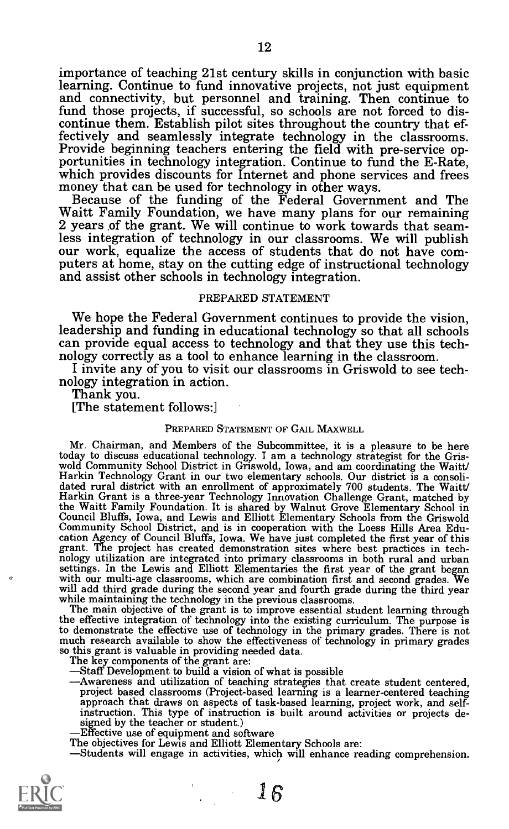importance of teaching 21st century skills in conjunction with basic and connectivity, but personnel and training. Then continue to fund those projects, if successful, so schools are not forced to discontinue them. Establish pilot sites throughout the country that effectively and seamlessly integrate technology in the classrooms.<br>Provide beginning teachers entering the field with pre-service opportunities in technology

2 years of the grant. We will continue to work towards that seam-<br>less integration of technology in our classrooms. We will publish our work, equalize the access of students that do not have com-<br>puters at home, stay on the cutting edge of instructional technology and assist other schools in technology integration.

# PREPARED STATEMENT

We hope the Federal Government continues to provide the vision,<br>leadership and funding in educational technology so that all schools<br>can provide equal access to technology and that they use this tech-<br>nology correctly as a

# PREPARED STATEMENT OF GAIL MAXWELL

Mr. Chairman, and Members of the Subcommittee, it is a pleasure to be here today to discuss educational technology. I am a technology strategist for the Gristoday to discuss educational technology. I am a technology strategist for the Gris-<br>wold Community School District in Griswold, Iowa, and am coordinating the Waitt/<br>Harkin Technology Grant in our two elementary schools. Ou the Waitt Family Foundation. It is shared by Walnut Grove Elementary School in Council Bluffs, Iowa, and Lewis and Elliott Elementary Schools from the Griswold Community School District, and is in cooperation with the Loes nology utilization are integrated into primary classrooms in both rural and urban<br>settings. In the Lewis and Elliott Elementaries the first year of the grant began<br>with our multi-age classrooms, which are combination first

the effective integration of technology into the existing curriculum. The purpose is to demonstrate the effective use of technology in the primary grades. There is not much research available to show the effectiveness of technology in primary grades

The key components of the grant are:<br>
—Staff Development to build a vision of what is possible<br>
—Awareness and utilization of teaching strategies that create student centered,<br>
project based classrooms (Project-based learn approach that draws on aspects of task-based learning, project work, and self-<br>instruction. This type of instruction is built around activities or projects de-<br>signed by the teacher or student.)<br>—Effective use of equipment

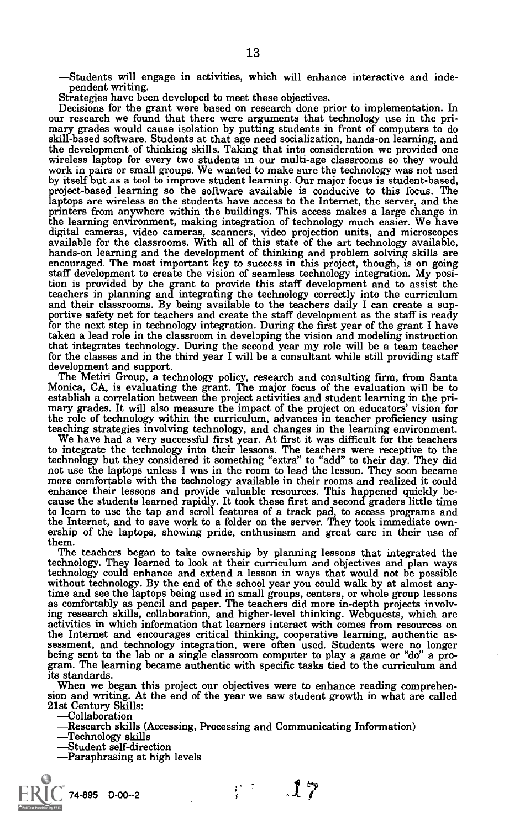-Students will engage in activities, which will enhance interactive and inde-<br>pendent writing.<br>Strategies have been developed to meet these objectives.<br>Decisions for the grant were based on research done prior to implement skill-based software. Students at that age need socialization, hands-on learning, and the development of thinking skills. Taking that into consideration we provided one<br>wireless laptop for every two students in our multi-age classrooms so they would<br>work in pairs or small groups. We wanted to make sure the by itself but as a tool to improve student learning. Our major focus is student-based, project-based learning so the software available is conducive to this focus. The printers from anywhere within the buildings. This access makes a large change in<br>the learning environment, making integration of technology much easier. We have digital cameras, video cameras, scanners, video projection units, and microscopes available for the classrooms. With all of this state of the art technology available, hands-on learning and the development of thinking and encouraged. The most important key to success in this project, though, is on going staff development to create the vision of seamless technology integration. My position is provided by the grant to provide this staff development and to assist the teachers in planning and integrating the technology correctly into the curriculum<br>and their classrooms. By being available to the teachers daily I can create a sup-<br>portive safety net for teachers and create the staff deve for the next step in technology integration. During the first year of the grant I have taken a lead role in the classroom in developing the vision and modeling instruction that integrates technology. During the second year my role will be a team teacher<br>for the classes and in the third year I will be a consultant while still providing staff

development and support.<br>The Metiri Group, a technology policy, research and consulting firm, from Santa<br>Monica, CA, is evaluating the grant. The major focus of the evaluation will be to establish a correlation between the project activities and student learning in the pri- mary grades. It will also measure the impact of the project on educators' vision for the role of technology within the curriculum, advances in teacher proficiency using

teaching strategies involving technology, and changes in the learning environment. We have had a very successful first year. At first it was difficult for the teachers to integrate the technology into their lessons. The teachers were receptive to the technology but they considered it something "extra" to "add" to their day. They did technology but they considered it something "extra" to "add" to their day. They did<br>not use the laptops unless I was in the room to lead the lesson. They soon became<br>more comfortable with the technology available in their enhance their lessons and provide valuable resources. This happened quickly be- cause the students learned rapidly. It took these first and second graders little time to learn to use the tap and scroll features of a track pad, to access programs and the Internet, and to save work to a folder on the server. They took immediate ownership of the laptops, showing pride, enthusiasm and great care in their use of them.

The teachers began to take ownership by planning lessons that integrated the technology. They learned to look at their curriculum and objectives and plan ways technology could enhance and extend a lesson in ways that would not be possible without technology. By the end of the school year you could walk by at almost anytime and see the laptops being used in small groups, centers, or whole group lessons as comfortably as pencil and paper. The teachers did more in-depth projects involving research skills, collaboration, and higher-level thinking. Webquests, which are activities in which information that learners interact with comes from resources on the Internet and encourages critical thinking, cooperative learning, authentic assessment, and technology integration, were often used. Students were no longer being sent to the lab or a single classroom computer to play a its standards.<br>When we began this project our objectives were to enhance reading comprehen-

sion and writing. At the end of the year we saw student growth in what are called 21st Century Skills:<br>
—Collaboration

-Research skills (Accessing, Processing and Communicating Information)<br>-Technology skills<br>-Student self-direction

Paraphrasing at high levels

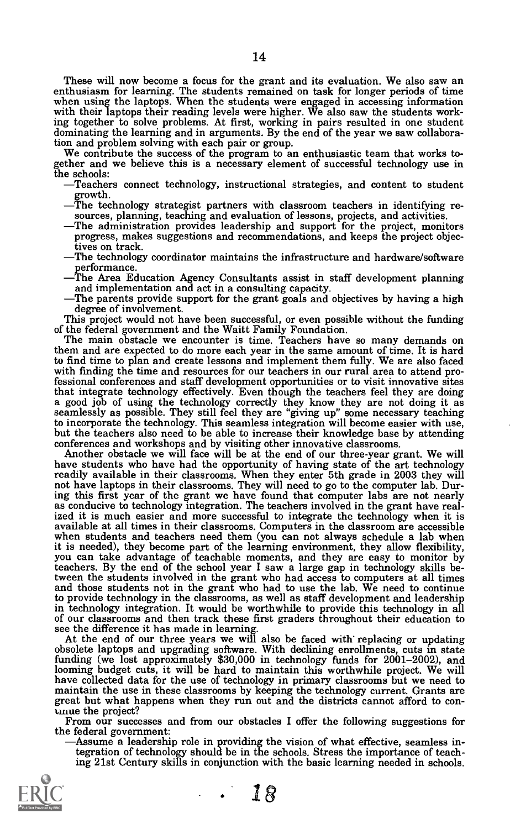These will now become a focus for the grant and its evaluation. We also saw an The students remained on task for longer periods of time<br>when using the laptops. When the students were engaged in accessing information<br>with their laptops their reading levels were higher. We also saw the students working together to solve problems. At first, working in pairs resulted in one student dominating the learning and in arguments. By the end of the year we saw collaboration and problem solving with each pair or group.

We contribute the success of the program to an enthusiastic team that works to-<br>gether and we believe this is a necessary element of successful technology use in the schools:<br>—Teachers connect technology, instructional strategies, and content to student

- 
- Fraction contributions of the distribution of lessons provided in identifying resources, planning, teaching and evaluation of lessons, projects, and activities.<br>The administration provides leadership and support for the pr
- 
- tives on track.<br>The technology coordinator maintains the infrastructure and hardware/software
- The technology coordinator maintains the infrarecture performance.<br>The Area Education Agency Consultants assist in staff development planning<br>and implementation and act in a consulting capacity.
- The parents provide support for the grant goals and objectives by having a high degree of involvement.

This project would not have been successful, or even possible without the funding of the federal government and the Waitt Family Foundation.

The main obstacle we encounter is time. Teachers have so many demands on them and are expected to do more each year in the same amount of time. It is hard to find time to plan and create lessons and implement them fully. We are also faced with finding the time and resources for our teachers in our rural area to attend professional conferences and staff development opportunities or to visit innovative sites that integrate technology effectively. Even though the teachers feel they are doing a good job of using the technology correctly they know they are not doing it as seamlessly as possible. They still feel they are "giving up" some necessary teaching to incorporate the technology. This seamless integration will become easier with use, but the teachers also need to be able to increase their knowledge base by attending conferences and workshops and by visiting other inno

conferences and workshops and by visiting other innovative classrooms.<br>Another obstacle we will face will be at the end of our three-year grant. We will have students who have had the opportunity of having state of the art readily available in their classrooms. When they enter 5th grade in 2003 they will not have laptops in their classrooms. They will need to go to the computer lab. During this first year of the grant we have found that computer labs are not nearly as conducive to technology integration. The teachers involved in the grant have real-<br>ized it is much easier and more successful to integrate the technology when it is ized it is much easier and more successful to integrate the technology when it is available at all times in their classrooms. Computers in the classroom are accessible when students and teachers need them (you can not alwa it is needed), they become part of the learning environment, they allow flexibility, you can take advantage of teachable moments, and they are easy to monitor by teachers. By the end of the school year I saw a large gap in technology skills be-<br>tween the students involved in the grant who had access to computers at all times and those students not in the grant who had to use the lab. We need to continue to provide technology in the classrooms, as well as staff development and leadership in technology integration. It would be worthwhile to provide this technology in all of our classrooms and then track these first graders throughout their education to see the difference it has made in learning.

At the end of our three years we will also be faced with replacing or updating obsolete laptops and upgrading software. With declining enrollments, cuts in state funding (we lost approximately \$30,000 in technology funds for 2001-2002), and have collected data for the use of technology in primary classrooms but we need to<br>maintain the use in these classrooms by keeping the technology current. Grants are<br>great but what happens when they run out and the distric

the federal government:<br>
—Assume a leadership role in providing the vision of what effective, seamless in-<br>
tegration of technology should be in the schools. Stress the importance of teaching 21st Century skills in conjunction with the basic learning needed in schools.

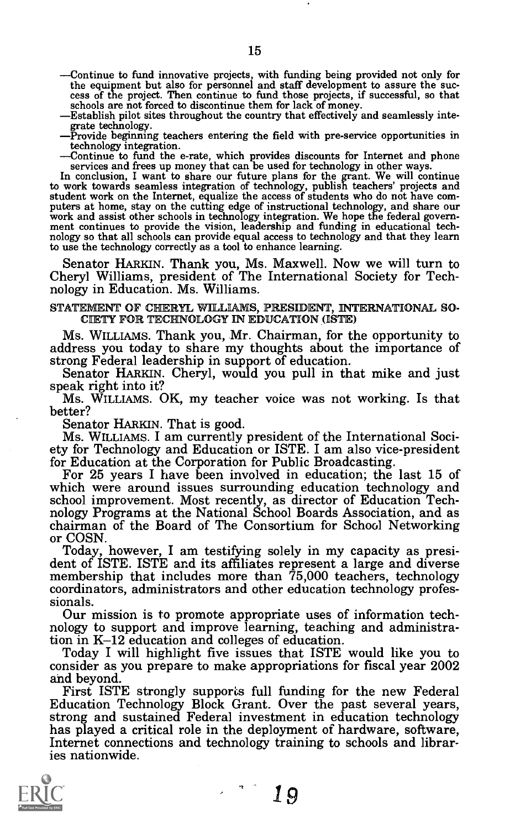- Continue to fund innovative projects, with funding being provided not only for the equipment but also for personnel and staff development to assure the suc-<br>cess of the project. Then continue to fund those projects, if successful, so that<br>schools are not forced to discontinue them for lack of money.<br>
- 
- 
- -Continue to fund the e-rate, which provides discounts for Internet and phone

services and frees up money that can be used for technology in other ways.<br>In conclusion, I want to share our future plans for the grant. We will continue<br>to work towards seamless integration of technology, publish teacher statement work on the interactional echnology, and share our<br>work and assist other schools in technology integration. We hope the federal government continues to provide the vision, leadership and funding in educational te to use the technology correctly as a tool to enhance learning.

Senator HARKIN. Thank you, Ms. Maxwell. Now we will turn to Cheryl Williams, president of The International Society for Tech- nology in Education. Ms. Williams.

# STATEMENT OF CHERYL WILLIAMS, PRESIDENT, INTERNATIONAL SO-CIETY FOR TECHNOLOGY IN EDUCATION (ISTE)

MS. WILLIAMS. Thank you, Mr. Chairman, for the opportunity to address you today to share my thoughts about the importance of strong Federal leadership in support of education.<br>Senator HARKIN. Cheryl, would you pull in that mike and just speak right into it?<br>Ms. WILLIAMS. OK, my teach

Ms. WILLIAMS. I am currently president of the International Society for Technology and Education or ISTE. I am also vice-president for Education at the Corporation for Public Broadcasting.<br>For 25 years I have been involved

school improvement. Most recently, as director of Education Tech- nology Programs at the National School Boards Association, and as chairman of the Board of The Consortium for School Networking or COSN.<br>Today, however, I am testifying solely in my capacity as presi-

dent of ISTE. ISTE and its affiliates represent a large and diverse membership that includes more than 75,000 teachers, technology coordinators, administrators and other education technology profes- sionals.

Our mission is to promote appropriate uses of information tech-nology to support and improve learning, teaching and administration in K-12 education and colleges of education.

Today I will highlight five issues that ISTE would like you to consider as you prepare to make appropriations for fiscal year 2002

First ISTE strongly supports full funding for the new Federal Education Technology Block Grant. Over the past several years, strong and sustained Federal investment in education technology has played a critical role in the deployment of hardware, software, Internet connections and technology training to schools and libraries nationwide.

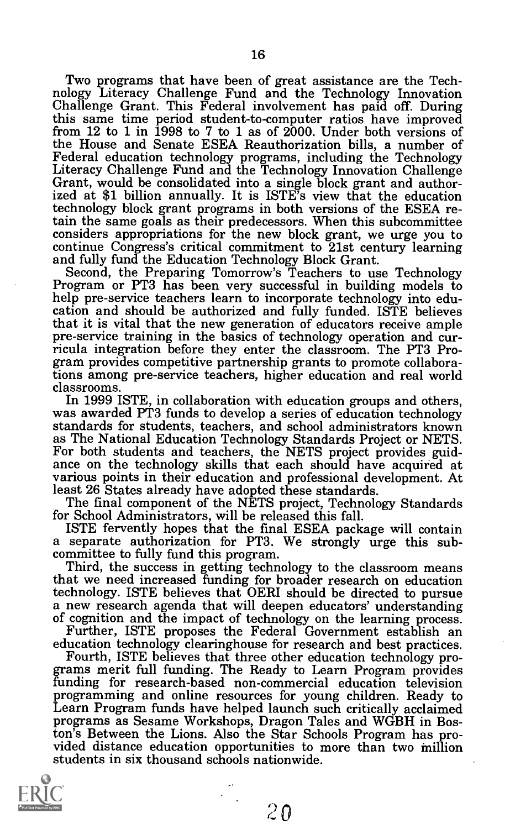Two programs that have been of great assistance are the Tech-<br>nology Literacy Challenge Fund and the Technology Innovation<br>Challenge Grant. This Federal involvement has paid off. During this same time period student-to-computer ratios have improved from 12 to 1 in 1998 to 7 to 1 as of 2000. Under both versions of the House and Senate ESEA Reauthorization bills, a number of Federal education technology programs, including the Technology<br>Literacy Challenge Fund and the Technology Innovation Challenge<br>Grant, would be consolidated into a single block grant and authorized at \$1 billion annually. It is ISTE's view that the education technology block grant programs in both versions of the ESEA reconsiders appropriations for the new block grant, we urge you to continue Congress's critical commitment to 21st century learning

Second, the Preparing Tomorrow's Teachers to use Technology<br>Program or PT3 has been very successful in building models to<br>help pre-service teachers learn to incorporate technology into education and should be authorized and fully funded. ISTE believes that it is vital that the new generation of educators receive ample<br>pre-service training in the basics of technology operation and cur-<br>ricula integration before they enter the classroom. The PT3 Pro-<br>gram provides competi tions among pre-service teachers, higher education and real world classrooms.<br>In 1999 ISTE, in collaboration with education groups and others.

was awarded PT3 funds to develop a series of education technology standards for students, teachers, and school administrators known<br>as The National Education Technology Standards Project or NETS. For both students and teachers, the NETS project provides guidance on the technology skills that each should have acquired at various points in their education and professional development. At least 26 States already have

for School Administrators, will be released this fall.

ISTE fervently hopes that the final ESEA package will contain<br>a separate authorization for PT3. We strongly urge this subcommittee to fully fund this program.<br>Third, the success in getting technology to the classroom means

that we need increased funding for broader research on education technology. ISTE believes that OERI should be directed to pursue a new research agenda that will deepen educators' understanding a new research agenda that will deepen educators' understanding<br>of cognition and the impact of technology on the learning process.<br>Further, ISTE proposes the Federal Government establish an<br>education technology clearinghou

Fourth, ISTE believes that three other education technology programs merit full funding. The Ready to Learn Program provides funding for research-based non-commercial education television programming and online resources for young children. Ready to Learn Program funds have helped launch such critically acclaimed programs as Sesame Workshops, Dragon Tales and WGBH in Boston's Between the Lions. Also the Star Schools Program has pro- vided distance education opportunities to more than two inillion students in six thousand schools nationwide.

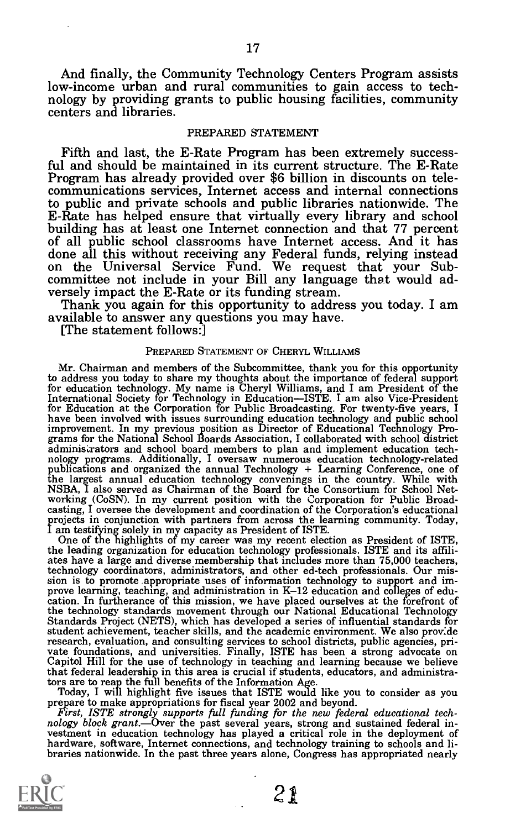And finally, the Community Technology Centers Program assists low-income urban and rural communities to gain access to technology by providing grants to public housing facilities, community centers and libraries.

# PREPARED STATEMENT

Fifth and last, the E-Rate Program has been extremely success-<br>ful and should be maintained in its current structure. The E-Rate<br>Program has already provided over \$6 billion in discounts on telecommunications services, Internet access and internal connections<br>to public and private schools and public libraries nationwide. The<br>E-Rate has helped ensure that virtually every library and school building has at least one Internet connection and that 77 percent<br>of all public school classrooms have Internet access. And it has<br>done all this without receiving any Federal funds, relying instead<br>on the Universal Service

available to answer any questions you may have. [The statement follows:]

# PREPARED STATEMENT OF CHERYL WILLIAMS

Mr. Chairman and members of the Subcommittee, thank you for this opportunity to address you today to share my thoughts about the importance of federal support to address you today to share my thoughts about the importance of federal support for education technology. My name is Cheryl Williams, and I am President of the International Society for Technology in Education—ISTE. I am also Vice-President<br>for Education at the Corporation for Public Broadcasting. For twenty-five years, I<br>have been involved with issues surrounding education techn gamministrators and school board members to plan and implement education technology programs. Additionally, I oversaw numerous education technology-related the angest annual education technology convenings in the connectio

the technology standards movement through our National Educational Technology<br>Standards Project (NETS), which has developed a series of influential standards for<br>student achievement, teacher skills, and the academic enviro research, evaluation, and consulting services to school districts, public agencies, private foundations, and universities. Finally, ISTE has been a strong advocate on Capitol Hill for the use of technology in teaching and that federal leadership in this area is crucial if students, educators, and administrators are to reap the full benefits of the Information Age. Today, I will highlight five issues that ISTE would like you to consider as you

prepare to make appropriations for fiscal year 2002 and beyond.<br>First, ISTE strongly supports full funding for the new federal educational technology block grant.—Over the past several years, strong and sustained federal i

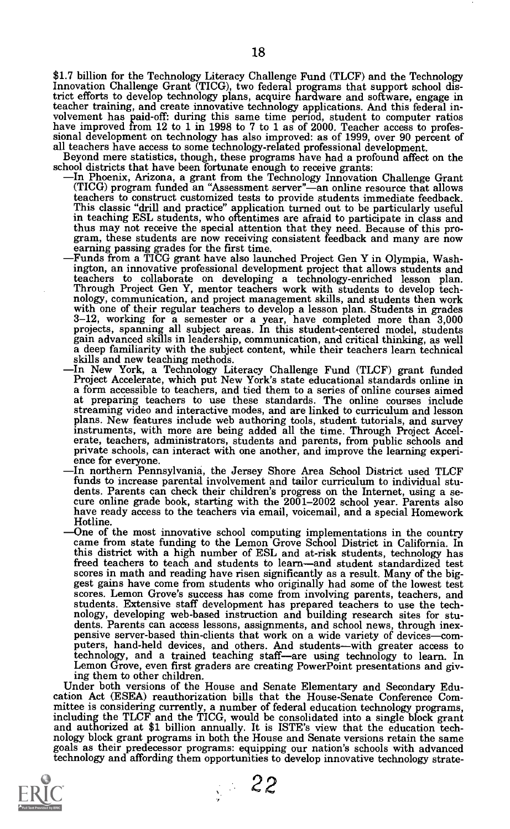\$1.7 billion for the Technology Literacy Challenge Fund (TLCF) and the Technology Innovation Challenge Grant (TICG), two federal programs that support school district efforts to develop technology plans, acquire hardware and software, engage in teacher training, and create innovative technology applications. And this federal involvement has paid-off: during this same time period, student to computer ratios<br>have improved from 12 to 1 in 1998 to 7 to 1 as of 2000. Teacher access to profes-<br>sional development on technology has also improved: as of

- school districts that have been fortunate enough to receive grants:<br>
In Phoenix, Arizona, a grant from the Technology Innovation Challenge Grant<br>
(TICG) program funded an "Assessment server"—an online resource that allows<br> teachers to construct customized tests to provide students immediate feedback.<br>This classic "drill and practice" application turned out to be particularly useful<br>in teaching ESL students, who oftentimes are afraid to parti thus may not receive the special attention that they need. Because of this pro- gram, these students are now receiving consistent feedback and many are now earning passing grades for the first time. Funds from a TICG grant have also launched Project Gen Y in Olympia, Wash
	- ington, an innovative professional development project that allows students and Through Project Gen Y, mentor teachers work with students to develop technology, communication, and project management skills, and students then work with one of their regular teachers to develop a lesson plan. Students in gain advanced skills in leadership, communication, and critical thinking, as well<br>a deep familiarity with the subject content, while their teachers learn technical<br>skills and new teaching methods.<br>In New York, a Technology
	- a form accessible to teachers, and tied them to a series of online courses aimed at preparing teachers to use these standards. The online courses include streaming video and interactive modes, and are linked to curriculum and lesson streaming video and interactive modes, and are linked to curriculum and lesson plans. New features include web authoring tools, student tutorials, and survey instruments, with more are being added all the time. Through Project Accel- erate, teachers, administrators, students and parents, from public schools and
	- private schools, can interact with one another, and improve the learning experience for everyone.<br>In northern Pennsylvania, the Jersey Shore Area School District used TLCF funds to increase parental involvement and tailor dents. Parents can check their children's progress on the Internet, using a se-<br>cure online grade book, starting with the 2001–2002 school year. Parents also have ready access to the teachers via email, voicemail, and a special Homework Hotline.
	- One of the most innovative school computing implementations in the country came from state funding to the Lemon Grove School District in California. In this district with a high number of ESL and at-risk students, technology has freed teachers to teach and students to learn—and student standardized test scores in math and reading have risen significantly as a result. Many of the biggest gains have come from students who originally had some of the lowest test scores. Lemon Grove's success has come from involving parents, t nology, developing web-based instruction and building research sites for students. Parents can access lessons, assignments, and school news, through inexpensive server-based thin-clients that work on a wide variety of devi puters, hand-held devices, and others. And students—with greater access to technology, and a trained teaching staff—are using technology to learn. In Lemon Grove, even first graders are creating PowerPoint presentations an

Under both versions of the House and Senate Elementary and Secondary Education Act (ESEA) reauthorization bills that the House-Senate Conference Committee is considering currently, a number of federal education technology technology and affording them opportunities to develop innovative technology strate-



 $\frac{22}{ }$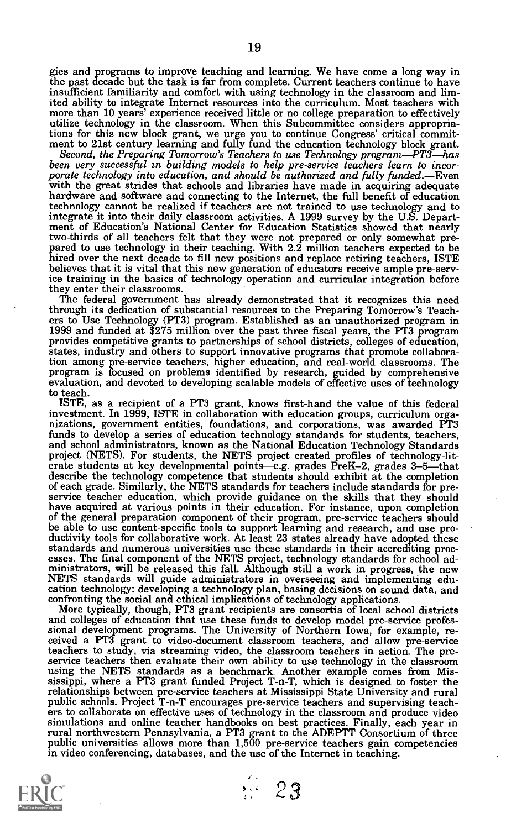gies and programs to improve teaching and learning. We have come a long way in the past decade but the task is far from complete. Current teachers continue to have insufficient familiarity and comfort with using technology in the classroom and limited ability to integrate Internet resources into the curriculum. Most teachers with more than 10 years' experience received little or no college preparation to effectively utilize technology in the classroom. When this Su

tions for this new block grant, we urge you to continue Congress' critical commit-<br>ment to 21st century learning and fully fund the education technology block grant.<br>Second, the Preparing Tomorrow's Teachers to use Techno technology cannot be realized if teachers are not trained to use technology and to integrate it into their daily classroom activities. A 1999 survey by the U.S. Depart- ment of Education's National Center for Education Statistics showed that nearly two-thirds of all teachers felt that they were not prepared or only somewhat pre-<br>pared to use technology in their teaching. With 2.2 million teachers expected to be<br>hired over the next decade to fill new positions and rep believes that it is vital that this new generation of educators receive ample pre-service training in the basics of technology operation and curricular integration before

The federal government has already demonstrated that it recognizes this need through its dedication of substantial resources to the Preparing Tomorrow's Teach- ers to Use Technology (PT3) program. Established as an unauthorized program in 1999 and funded at \$275 million over the past three fiscal years, the PT3 program provides competitive grants to partnerships of school districts, colleges of education, states, industry and others to support innovative programs that promote collaboration among pre-service teachers, higher education, an tion among pre-service teachers, higher education, and real-world classrooms. The<br>program is focused on problems identified by research, guided by comprehensive<br>evaluation, and devoted to developing scalable models of effe to teach.

ISTE, as a recipient of a PT3 grant, knows first-hand the value of this federal nizations, government entities, foundations, and corporations, was awarded PT3 funds to develop a series of education technology standards for students, teachers, and school administrators, known as the National Education Technology Standards<br>project (NETS). For students, the NETS project created profiles of technology-lit-<br>erate students at key developmental points—e.g. grades PreK of each grade. Similarly, the NETS standards for teachers include standards for pre-<br>service teacher education, which provide guidance on the skills that they should<br>have acquired at various points in their education. For of the general preparation component of their program, pre-service teachers should<br>be able to use content-specific tools to support learning and research, and use pro-<br>ductivity tools for collaborative work. At least 23 st standards and numerous universities use these standards in their accrediting processes. The final component of the NETS project, technology standards for school administrators, will be released this fall. Although still a

More typically, though, PT3 grant recipients are consortia of local school districts<br>and colleges of education that use these funds to develop model pre-service profes-<br>sional development programs. The University of Northe teachers to study, via streaming video, the classroom teachers in action. The pre- service teachers then evaluate their own ability to use technology in the classroom using the NETS standards as a benchmark. Another example comes from Mississippi, where a PT3 grant funded Project T-n-T, which is designed to foster the relationships between pre-service teachers at Mississippi State University and rural<br>public schools. Project T-n-T encourages pre-service teachers and supervising teach-<br>ers to collaborate on effective uses of technology i simulations and online teacher handbooks on best practices. Finally, each year in rural northwestern Pennsylvania, a PT3 grant to the ADEPTT Consortium of three public universities allows more than 1,500 pre-service teachers gain competencies public universities allows more than 1,500 pre-service teachers gain competencies<br>in video conferencing, databases, and the use of the Internet in teaching.



 $\cdot$  23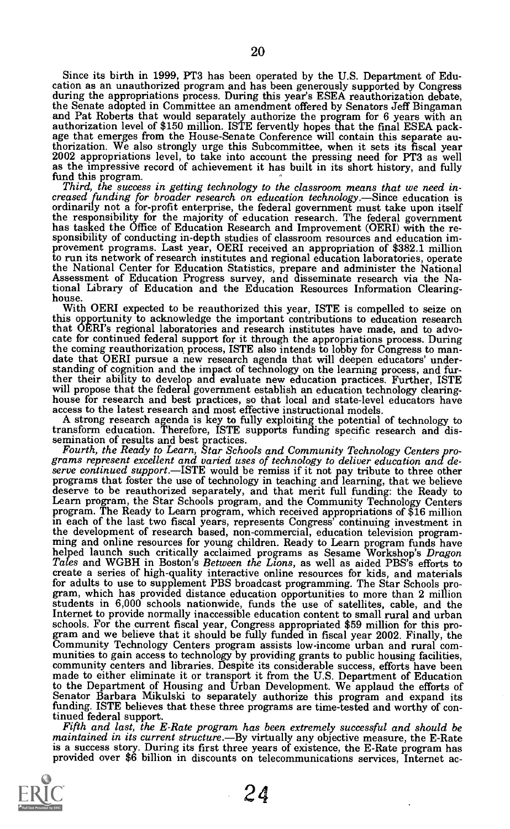Since its birth in 1999, PT3 has been operated by the U.S. Department of Education as an unauthorized program and has been generously supported by Congress during the appropriations process. During this year's ESEA reautho and Pat Roberts that would separately authorize the program for 6 years with an authorization level of \$150 million. ISTE fervently hopes that the final ESEA pack- age that emerges from the House-Senate Conference will contain this separate authorization. We also strongly urge this Subcommittee, when it sets its fiscal year 2002 appropriations level, to take into account the pressing need for PT3 as well as the into sector of achievement it has built in its sho

Third, the success in getting technology to the classroom means that we need increased funding for broader research on education technology.—Since education is ordinarily not a for-profit enterprise, the federal government the responsibility for the majority of education research. The federal government<br>has tasked the Office of Education Research and Improvement (OERI) with the responsibility of conducting in-depth studies of classroom resou the National Center for Education Statistics, prepare and administer the National Assessment of Education Progress survey, and disseminate research via the National Library of Education and the Education Resources Information Clearing-<br>house.

With OERI expected to be reauthorized this year, ISTE is compelled to seize on this opportunity to acknowledge the important contributions to education research that OERI's regional laboratories and research institutes have made, and to advocate for continued federal support for it through the appropriations process. During the coming reauthorization process, ISTE also intends to lobby for Congress to mandate that OERI pursue a new research agenda that will deepen educators' understanding of cognition and the impact of technology on the learn will propose that the federal government establish an education technology clearing-<br>house for research and best practices, so that local and state-level educators have access to the latest research and most effective instructional models.

A strong research agenda is key to fully exploiting the potential of technology to

semination of results and best practices.<br>Fourth, the Ready to Learn, Star Schools and Community Technology Centers programs represent excellent and varied uses of technology to deliver education and deserve continued supp in each of the last two fiscal years, represents Congress' continuing investment in ming and online resources for young children. Ready to Learn program funds have<br>helped launch such critically acclaimed programs as Sesame Workshop's *Dragon*<br>Tales and WGBH in Boston's *Between the Lions*, as well as aide create a series of high-quality interactive online resources for kids, and materials for adults to use to supplement PBS broadcast programming. The Star Schools pro- gram, which has provided distance education opportunities to more than 2 million students in 6,000 schools nationwide, funds the use of satellites, cable, and the Internet to provide normally inaccessible education content to small rural and urban schools. For the current fiscal year, Congress appropriated \$59 million for this program and we believe that it should be fully funded in fiscal year 2002. Finally, the Community Technology Centers program assists low-inco to the Department of Housing and Urban Development. We applaud the efforts of<br>Senator Barbara Mikulski to separately authorize this program and expand its<br>funding. ISTE believes that these three programs are time-tested an

tinued federal support.<br>Fifth and last, the E-Rate program has been extremely successful and should be<br>maintained in its current structure.—By virtually any objective measure, the E-Rate<br>is a success story. During its firs provided over \$6 billion in discounts on telecommunications services, Internet ac-

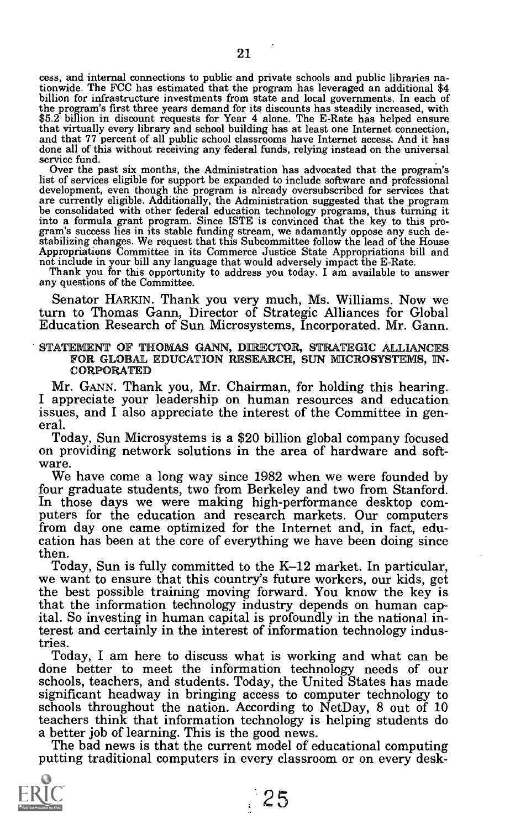cess, and internal connections to public and private schools and public libraries nationwide. The FCC has estimated that the program has leveraged an additional \$4 billion for infrastructure investments from state and local governments. In each of the program's first three years demand for its discounts has steadily increased, with \$5.2 billion in discount requests for Year 4 alone. The E-Rate has helped ensure that virtually every library and school building has at and that 77 percent of all public school classrooms have Internet access. And it has done all of this without receiving any federal funds, relying instead on the universal service fund.

Over the past six months, the Administration has advocated that the program's list of services eligible for support be expanded to include software and professional list of services eligible for support be expanded to include software and professional development, even though the program is already oversubscribed for services that<br>are currently eligible. Additionally, the Administrati be consolidated with other federal education technology programs, thus turning it into a formula grant program. Since ISTE is convinced that the key to this program's success lies in its stable funding stream, we adamantly

Appropriations Committee in its Commerce Justice State Appropriations bill and not include in your bill any language that would adversely impact the E-Rate. Thank you for this opportunity to address you today. I am availab

Senator HARKIN. Thank you very much, Ms. Williams. Now we turn to Thomas Gann, Director of Strategic Alliances for Global Education Research of Sun Microsystems, Incorporated. Mr. Gann.

STATEMENT OF THOMAS GANN, DIRECTOR, STRATEGIC ALLIANCES FOR GLOBAL EDUCATION RESEARCH, SUN MICROSYSTEMS, IN-CORPORATED

Mr. GANN. Thank you, Mr. Chairman, for holding this hearing. I appreciate your leadership on human resources and education issues, and I also appreciate the interest of the Committee in general.<br>Today, Sun Microsystems is a \$20 billion global company focused

on providing network solutions in the area of hardware and software.

We have come a long way since 1982 when we were founded by four graduate students, two from Berkeley and two from Stanford. In those days we were making high-performance desktop com-<br>puters for the education and research markets. Our computers from day one came optimized for the Internet and, in fact, edu- cation has been at the core of everything we have been doing since

then.<br>Today, Sun is fully committed to the K–12 market. In particular, we want to ensure that this country's future workers, our kids, get the best possible training moving forward. You know the key is that the information technology industry depends on human capital. So investing in human capital is profoundly in the national interest and certainly in the interest of information technology indus-

tries.<br>Today, I am here to discuss what is working and what can be done better to meet the information technology needs of our schools, teachers, and students. Today, the United States has made significant headway in bringing access to computer technology to schools throughout the nation. According to NetDay, 8 out of 10 teachers think that information technology is helping students do

The bad news is that the current model of educational computing. putting traditional computers in every classroom or on every desk-

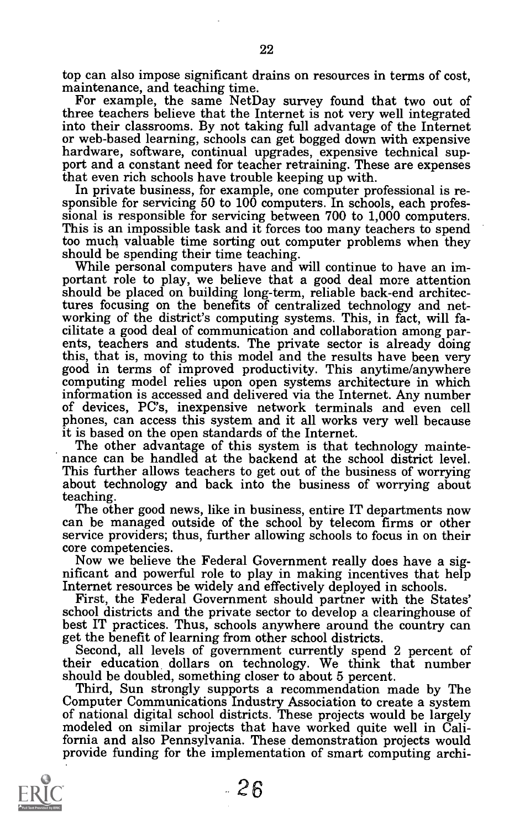top can also impose significant drains on resources in terms of cost, maintenance, and teaching time. For example, the same Net Day survey found that two out of

three teachers believe that the Internet is not very well integrated into their classrooms. By not taking full advantage of the Internet or web-based learning, schools can get bogged down with expensive hardware, software, continual upgrades, expensive technical support and a constant need for teacher retraining. These are expenses that even rich schools ha

In private business, for example, one computer professional is responsible for servicing 50 to 100 computers. In schools, each professional is responsible for servicing between 700 to 1,000 computers.<br>This is an impossible too much valuable time sorting out computer problems when they should be spending their time teaching.

should be spending their time teaching. While personal computers have and will continue to have an im- portant role to play, we believe that a good deal more attention should be placed on building long-term, reliable back-end architectures focusing on the benefits of centralized technology and net-<br>working of the district's computing systems. This, in fact, will fa-<br>cilitate a good deal of communication and collaboration among par-<br>ents, teachers and s this, that is, moving to this model and the results have been very good in terms of improved productivity. This anytime/anywhere computing model relies upon open systems architecture in which<br>information is accessed and delivered via the Internet. Any number of devices, PC's, inexpensive network terminals and even cell phones, can access this system and it all works very well because it is based on the open standards of the Internet.

The other advantage of this system is that technology mainte- nance can be handled at the backend at the school district level. This further allows teachers to get out of the business of worrying about technology and back into the business of worrying about<br>teaching.

The other good news, like in business, entire IT departments now can be managed outside of the school by telecom firms or other

service providers; thus, further allowing schools to focus in on their<br>core competencies.<br>Now we believe the Federal Government really does have a sig-<br>nificant and powerful role to play in making incentives that help<br>Inte

First, the Federal Government should partner with the States' school districts and the private sector to develop a clearinghouse of best IT practices. Thus, schools anywhere around the country can get the benefit of learni

Second, all levels of government currently spend 2 percent of<br>their education dollars on technology. We think that number their education dollars on technology. We think that number<br>should be doubled, something closer to about 5 percent.<br>Third, Sun strongly supports a recommendation made by The<br>Computer Communications Industry Association to

of national digital school districts. These projects would be largely modeled on similar projects that have worked quite well in Calimodeled on similar projects that have worked quite well in California and also Pennsylvania. These demonstration projects would provide funding for the implementation of smart computing archi-



- 26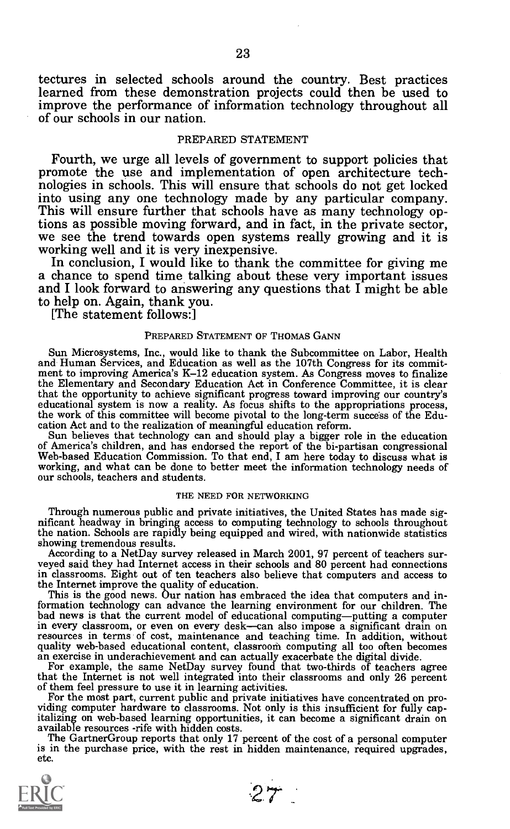tectures in selected schools around the country. Best practices learned from these demonstration projects could then be used to improve the performance of information technology throughout all of our schools in our nation.

# PREPARED STATEMENT

Fourth, we urge all levels of government to support policies that promote the use and implementation of open architecture tech- nologies in schools. This will ensure that schools do not get locked into using any one technology made by any particular company. This will ensure further that schools have as many technology op-

we see the trend towards open systems really growing and it is<br>working well and it is very inexpensive.<br>In conclusion, I would like to thank the committee for giving me<br>a chance to spend time talking about these very impor to help on. Again, thank you. [The statement follows:]

# PREPARED STATEMENT OF THOMAS GANN

Sun Microsystems, Inc., would like to thank the Subcommittee on Labor, Health and Human Services, and Education as well as the 107th Congress for its commit- ment to improving America's K-12 education system. As Congress moves to finalize ment to improving America's K-12 education system. As Congress moves to finalize<br>the Elementary and Secondary Education Act in Conference Committee, it is clear<br>that the opportunity to achieve significant progress toward i educational system is now a reality. As focus shifts to the appropriations process,<br>the work of this committee will become pivotal to the long-term success of the Edu-<br>cation Act and to the realization of meaningful educat

Sun believes that technology can and should play a bigger role in the education<br>of America's children, and has endorsed the report of the bi-partisan congressional<br>Web-based Education Commission. To that end, I am here tod

# THE NEED FOR NETWORKING

Through numerous public and private initiatives, the United States has made sig- nificant headway in bringing access to computing technology to schools throughout the nation. Schools are rapidly being equipped and wired, with nationwide statistics<br>showing tremendous results.

showing tremendous results.<br>According to a NetDay survey released in March 2001, 97 percent of teachers surveyed said they had Internet access in their schools and 80 percent had connections in classrooms. Eight out of ten teachers also believe that computers and access to

the Internet improve the quality of education.<br>This is the good news. Our nation has embraced the idea that computers and in-<br>formation technology can advance the learning environment for our children. The formation technology can advance the learning environment for our children. The bad news is that the current model of educational computing—putting a computer in every classroom, or even on every desk—can also impose a significant drain on resources in terms of cost, maintenance and teaching time. In addition, without quality web-based educational content, classroom computing al

that the Internet is not well integrated into their classrooms and only 26 percent of them feel pressure to use it in learning activities.<br>For the most part, current public and private initiatives have concentrated on proavailable resources -rife with hidden costs.

The Gartner Group reports that only 17 percent of the cost of a personal computer is in the purchase price, with the rest in hidden maintenance, required upgrades, etc.



 $27$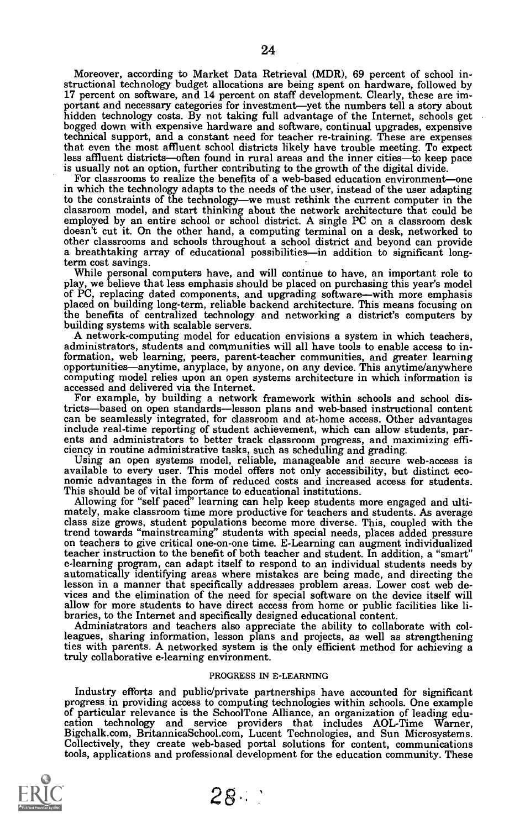Moreover, according to Market Data Retrieval (MDR), 69 percent of school instructional technology budget allocations are being spent on hardware, followed by 17 percent on software, and 14 percent on staff development. Cle 17 percent on software, and 14 percent on staff development. Clearly, these are important and necessary categories for investment—yet the numbers tell a story about hidden technology costs. By not taking full advantage of technical support, and a constant need for teacher re-training. These are expenses that even the most affluent school districts likely have trouble meeting. To expect less affluent districts—often found in rural areas and the inner cities—to keep pace is usually not an option, further contributing to the

For classrooms to realize the benefits of a web-based education environment-one in which the technology adapts to the needs of the user, instead of the user adapting to the constraints of the technology-we must rethink the current computer in the classroom model, and start thinking about the network architecture that could be employed by an entire school or school district. A single PC on a classroom desk doesn't cut it. On the other hand, a computing terminal on a desk, networked to other classrooms and schools throughout a school district and beyond can provide a breathtaking array of educational possibilities—in addition to significant long-term cost savings.

While personal computers have, and will continue to have, an important role to play, we believe that less emphasis should be placed on purchasing this year's model of PC, replacing dated components, and upgrading software—with more emphasis placed on building long-term, reliable backend architecture. This means focusing on the benefits of centralized technology and networking a district's computers by building systems with scalable servers.

A network-computing model for education envisions a system in which teachers, administrators, students and communities will all have tools to enable access to information, web learning, peers, parent-teacher communities, a opportunities—anytime, anyplace, by anyone, on any device. This anytime/anywhere computing model relies upon an open systems architecture in which information is accessed and delivered via the Internet.

For example, by building a network framework within schools and school districts—based on open standards—lesson plans and web-based instructional content can be seamlessly integrated, for classroom and at-home access. Othe

include real-time reporting of student achievement, which can allow students, parents and administrators to better track classroom progress, and maximizing efficiency in routine administrative tasks, such as scheduling and

trend towards "mainstreaming" students with special needs, places added pressure on teachers to give critical one-on-one time. E-Learning can augment individualized teacher instruction to the benefit of both teacher and student. In addition, a "smart" e-learning program, can adapt itself to respond to an individual students needs by automatically identifying areas where mistakes are being made, and directing the lesson in a manner that specifically addresses problem areas. Lower cost web devices and the elimination of the need for special software on the device itself will allow for more students to have direct access from home or public facilities like libraries, to the Internet and specifically designed ed

leagues, sharing information, lesson plans and projects, as well as strengthening ties with parents. A networked system is the only efficient method for achieving a truly collaborative e-learning environment.

#### PROGRESS IN E-LEARNING

Industry efforts and public/private partnerships have accounted for significant<br>progress in providing access to computing technologies within schools. One example<br>of particular relevance is the SchoolTone Alliance, an orga Bigchalk.com, BritannicaSchool.com, Lucent Technologies, and Sun Microsystems. Collectively, they create web-based portal solutions for content, communications Collectively, they create web-based portal solutions for content, communications tools, applications and professional development for the education community. These



28-.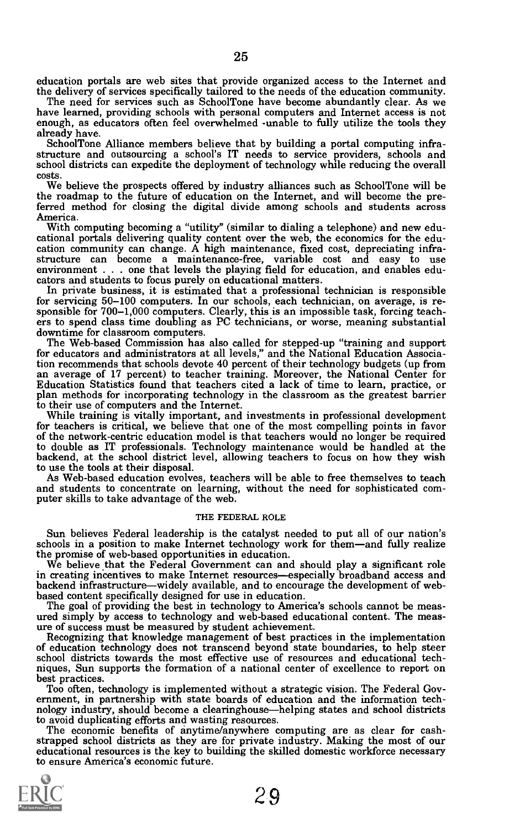education portals are web sites that provide organized access to the Internet and the delivery of services specifically tailored to the needs of the education community.

The need for services such as SchoolTone have become abundantly clear. As we have learned, providing schools with personal computers and Internet access is not enough, as educators often feel overwhelmed -unable to fully u

SchoolTone Alliance members believe that by building a portal computing infra- structure and outsourcing a school's IT needs to service providers, schools and school districts can expedite the deployment of technology while reducing the overall costs.

We believe the prospects offered by industry alliances such as SchoolTone will be the roadmap to the future of education on the Internet, and will become the preferred method for closing the digital divide among schools and students across America.<br>
With computing becoming a "utility" (similar to dialing a telephone) and new edu-

cational portals delivering quality content over the web, the economics for the education community can change. A high maintenance, fixed cost, depreciating infrastructure can become a maintenance-free, variable cost and

sponsible for 700–1,000 computers. Clearly, this is an impossible task, forcing teachers to spend class time doubling as PC technicians, or worse, meaning substantial downtime for classroom computers.<br>The Web-based Commiss

tion recommends that schools devote 40 percent of their technology budgets (up from an average of 17 percent) to teacher training. Moreover, the National Center for Education Statistics found that teachers cited a lack of time to learn, practice, or plan methods for incorporating technology in the classro

to their use of computers and the Internet.<br>While training is vitally important, and investments in professional development<br>for teachers is critical, we believe that one of the most compelling points in favor<br>of the netwo to double as IT professionals. Technology maintenance would be handled at the backend, at the school district level, allowing teachers to focus on how they wish backend, at the school district level, allowing teachers to focus on how they wish<br>to use the tools at their disposal.<br>As Web-based education evolves, teachers will be able to free themselves to teach

and students to concentrate on learning, without the need for sophisticated com- puter skills to take advantage of the web.

# THE FEDERAL ROLE

Sun believes Federal leadership is the catalyst needed to put all of our nation's schools in a position to make Internet technology work for them—and fully realize the promise of web-based opportunities in education.

We believe that the Federal Government can and should play a significant role in creating incentives to make Internet resources—especially broadband access and<br>backend infrastructure—widely available, and to encourage the development of web-

backend infrastructure—widely available, and to encourage the development of web-<br>based content specifically designed for use in education.<br>The goal of providing the best in technology to America's schools cannot be meas-<br> niques, Sun supports the formation of a national center of excellence to report on

best practices.<br>Too often, technology is implemented without a strategic vision. The Federal Government, in partnership with state boards of education and the information technology industry, should become a clearinghouse—

The economic benefits of anytime/anywhere computing are as clear for cash-<br>strapped school districts as they are for private industry. Making the most of our<br>educational resources is the key to building the skilled domesti to ensure America's economic future.

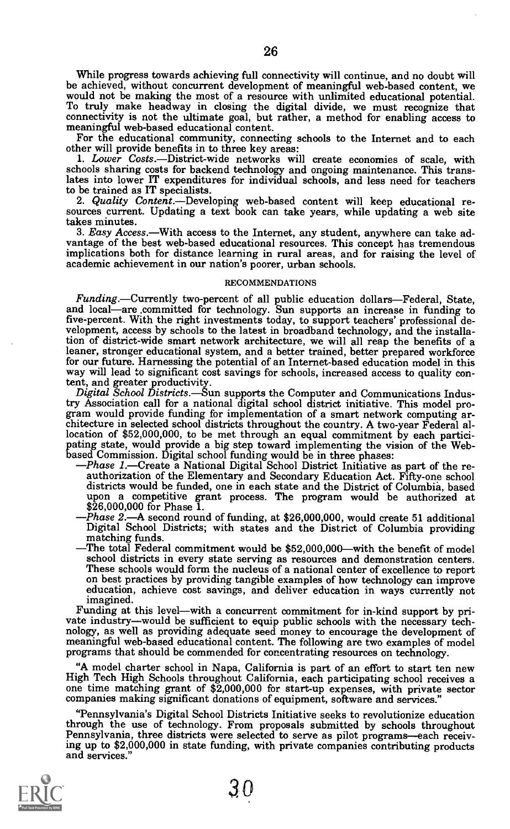While progress towards achieving full connectivity will continue, and no doubt will<br>be achieved, without concurrent development of meaningful web-based content, we<br>would not be making the most of a resource with unlimited

1. Lower Costs.--District-wide networks will create economies of scale, with schools sharing costs for backend technology and ongoing maintenance. This translates into lower IT expenditures for individual schools, and less need for teachers

2. Quality Content. - Developing web-based content will keep educational re- sources current. Updating a text book can take years, while updating a web site

takes minutes.<br>3. Easy Access.—With access to the Internet, any student, anywhere can take advantage of the best web-based educational resources. This concept has tremendous implications both for distance learning in rural areas, and for raising the level of academic achievement in our nation's poorer, urban schools.

# RECOMMENDATIONS

Funding.—Currently two-percent of all public education dollars—Federal, State, and local—are committed for technology. Sun supports an increase in funding to five-percent. With the right investments today, to support teachers' professional de- velopment, access by schools to the latest in broadband technology, and the installation of district-wide smart network architecture, we will all reap the benefits of a leaner, stronger educational system, and a better trained, better prepared workforce way will lead to significant cost savings for schools, increased access to quality con-

tent, and greater productivity.<br>Digital School Districts.—Sun supports the Computer and Communications Indus-<br>try Association call for a national digital school district initiative. This model program would provide funding for implementation of a smart network computing architecture in selected school districts throughout the country. A two-year Federal allocation of \$52,000,000, to be met through an equal commitme

- paing state, would provide a big step toward implementing the vision of the Web-<br>based Commission. Digital school funding would be in three phases:<br> $-Phase\ I.$ -Create a National Digital School District Initiative as part of t
	- Digital School Districts; with states and the District of Columbia providing<br>matching funds.<br>The total Federal commitment would be \$52,000,000—with the benefit of model<br>school districts in every state serving as resources
	- These schools would form the nucleus of a national center of excellence to report on best practices by providing tangible examples of how technology can improve education, achieve cost savings, and deliver education in way

Funding at this level—with a concurrent commitment for in-kind support by private industry—would be sufficient to equip public schools with the necessary technology, as well as providing adequate seed money to encourage th

"A model charter school in Napa, California is part of an effort to start ten new one time matching grant of \$2,000,000 for start-up expenses, with private sector companies making significant donations of equipment, software and services."

"Pennsylvania's Digital School Districts Initiative seeks to revolutionize education Pennsylvania, three districts were selected to serve as pilot programs-each receiving up to \$2,000,000 in state funding, with private companies contributing products and services."



 $3<sub>0</sub>$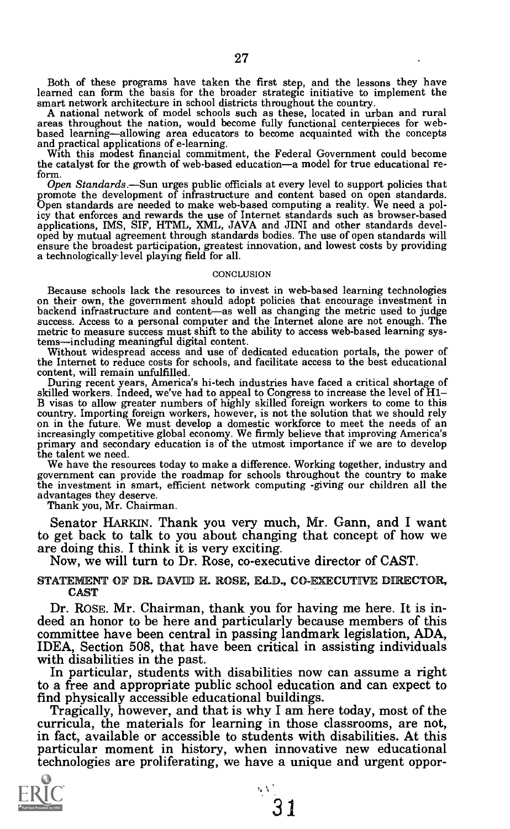Both of these programs have taken the first step, and the lessons they have learned can form the basis for the broader strategic initiative to implement the

smart network architecture in school districts throughout the country.<br>A national network of model schools such as these, located in urban and rural<br>areas throughout the nation, would become fully functional centerpieces f

the catalyst for the growth of web-based education—a model for true educational re-<br>form.

form.<br>
Open Standards.—Sun urges public officials at every level to support policies that<br>
promote the development of infrastructure and content based on open standards.<br>
Open standards are needed to make web-based computi ensure the broadest participation, greatest innovation, and lowest costs by providing a technologically level playing field for all.

#### **CONCLUSION**

Because schools lack the resources to invest in web-based learning technologies on their own, the government should adopt policies that encourage investment in backend infrastructure and content—as well as changing the met success. Access to a personal computer and the Internet alone are not enough. The metric to measure success must shift to the ability to access web-based learning systems—including meaningful digital content.

Without widespread access and use of dedicated education portals, the power of the Internet to reduce costs for schools, and facilitate access to the best educational content, will remain unfulfilled.

During recent years, America's hi-tech industries have faced a critical shortage of skilled workers. Indeed, we've had to appeal to Congress to increase the level of H1-<br>B visas to allow greater numbers of highly skilled f increasingly competitive global economy. We firmly believe that improving America's primary and secondary education is of the utmost importance if we are to develop the talent we need.

We have the resources today to make a difference. Working together, industry and government can provide the roadmap for schools throughout the country to make the investment in smart, efficient network computing -giving our children all the

Thank you, Mr. Chairman.

Senator HARKIN. Thank you very much, Mr. Gann, and I want to get back to talk to you about changing that concept of how we are doing this. I think it is very exciting.

Now, we will turn to Dr. Rose, co-executive director of CAST.

STATEMENT OF DR. DAVID H. ROSE, Ed.D., CO-EXECUTIVE DIRECTOR, CAST

Dr. ROSE. Mr. Chairman, thank you for having me here. It is indeed an honor to be here and particularly because members of this committee have been central in passing landmark legislation, ADA, IDEA, Section 508, that have

to a free and appropriate public school education and can expect to<br>find physically accessible educational buildings.

Tragically, however, and that is why I am here today, most of the curricula, the materials for learning in those classrooms, are not, in fact, available or accessible to students with disabilities. At this particular momen technologies are proliferating, we have a unique and urgent oppor-

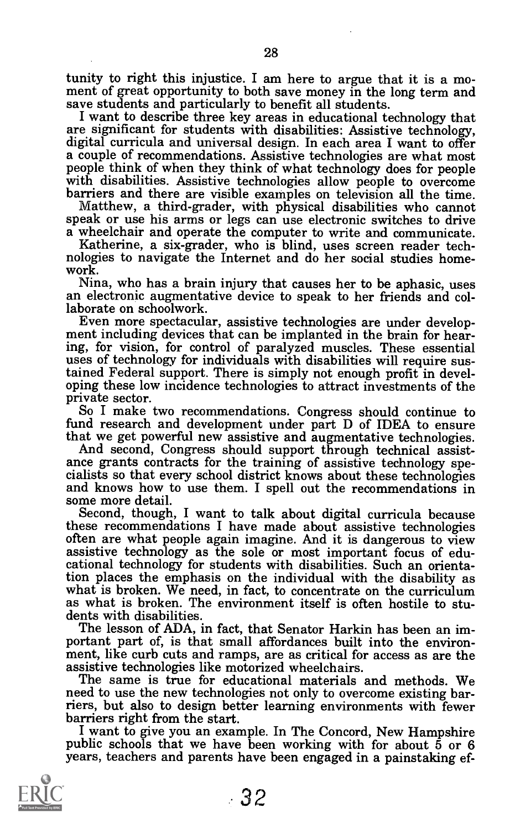tunity to right this injustice. I am here to argue that it is a mo-<br>ment of great opportunity to both save money in the long term and<br>save students and particularly to benefit all students.

I want to describe three key areas in educational technology that<br>are significant for students with disabilities: Assistive technology,<br>digital curricula and universal design. In each area I want to offer<br>a couple of recom

a wheelchair and operate the computer to write and communicate. Katherine, a six-grader, who is blind, uses screen reader tech- nologies to navigate the Internet and do her social studies home- work.

Nina, who has a brain injury that causes her to be aphasic, uses an electronic augmentative device to speak to her friends and collaborate on schoolwork.

Even more spectacular, assistive technologies are under develop- ment including devices that can be implanted in the brain for hearing, for vision, for control of paralyzed muscles. These essential uses of technology for individuals with disabilities will require susoping these low incidence technologies to attract investments of the<br>private sector.<br>So I make two recommendations. Congress should continue to

fund research and development under part D of IDEA to ensure

that we get powerful new assistive and augmentative technologies.<br>And second, Congress should support through technical assistance grants contracts for the training of assistive technology specialists so that every school and knows how to use them. I spell out the recommendations in some more detail.

Second, though, I want to talk about digital curricula because these recommendations I have made about assistive technologies often are what people again imagine. And it is dangerous to view assistive technology as the sole or most important focus of edu- cational technology for students with disabilities. Such an orientation places the emphasis on the individual with the disability as what is broken. We need, in fact, to concentrate on the curriculum as what is broken. The environment itself is often hostile to students with disabilities.<br>The lesson of ADA, in fact, that Senator Harkin has been an im-

portant part of, is that small affordances built into the environ-<br>ment, like curb cuts and ramps, are as critical for access as are the<br>assistive technologies like motorized wheelchairs.

The same is true for educational materials and methods. We need to use the new technologies not only to overcome existing barriers, but also to design better learning environments with fewer<br>barriers right from the start.<br>I want to give you an example. In The Concord, New Hampshire<br>public schools that we have been working with for about 5 or 6

years, teachers and parents have been engaged in a painstaking ef-

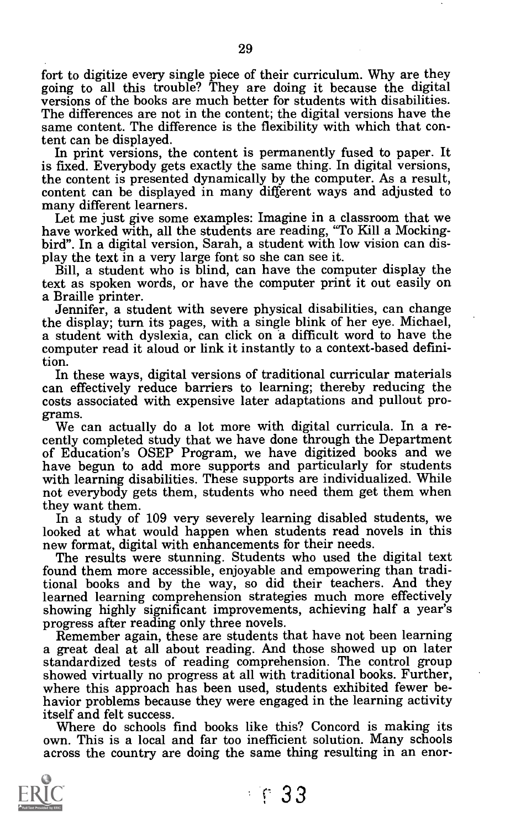fort to digitize every single piece of their curriculum. Why are they going to all this trouble? They are doing it because the digital versions of the books are much better for students with disabilities. The differences are not in the content; the digital versions have the same content. The difference is the flexibility with which that content can be displayed.

In print versions, the content is permanently fused to paper. It is fixed. Everybody gets exactly the same thing. In digital versions,

the content is presented dynamically by the computer. As a result,<br>content can be displayed in many different ways and adjusted to<br>many different learners.<br>Let me just give some examples: Imagine in a classroom that we<br>hav

text as spoken words, or have the computer print it out easily on

Jennifer, a student with severe physical disabilities, can change the display; turn its pages, with a single blink of her eye. Michael, a student with dyslexia, can click on a difficult word to have the computer read it aloud or link it instantly to a context-based definition.

In these ways, digital versions of traditional curricular materials can effectively reduce barriers to learning; thereby reducing the costs associated with expensive later adaptations and pullout pro-

We can actually do a lot more with digital curricula. In a recently completed study that we have done through the Department of Education's OSEP Program, we have digitized books and we have begun to add more supports and p

In a study of 109 very severely learning disabled students, we<br>looked at what would happen when students read novels in this

new format, digital with enhancements for their needs.<br>The results were stunning. Students who used the digital text<br>found them more accessible, enjoyable and empowering than traditional books and by the way, so did their teachers. And they learned learning comprehension strategies much more effectively showing highly significant improvements, achieving half a year's

progress after reading only three novels.<br>Remember again, these are students that have not been learning a great deal at all about reading. And those showed up on later standardized tests of reading comprehension. The control group showed virtually no progress at all with traditional books. Further, where this approach has been used, students exhibited fewer be-<br>havior problems because they were engaged in the learning activity

itself and felt success.<br>Where do schools find books like this? Concord is making its own. This is a local and far too inefficient solution. Many schools across the country are doing the same thing resulting in an enor-



 $\cdot$  6 33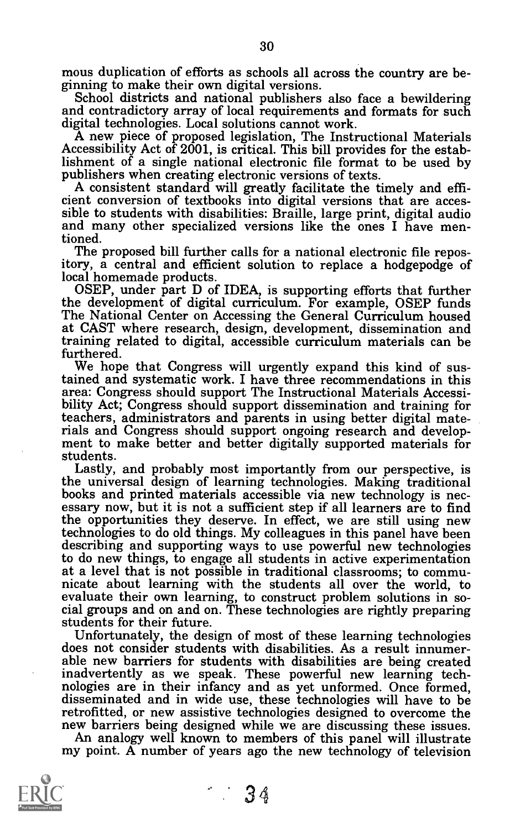mous duplication of efforts as schools all across the country are be-<br>ginning to make their own digital versions.<br>School districts and national publishers also face a bewildering

and contradictory array of local requirements and formats for such digital technologies. Local solutions cannot work.

A new piece of proposed legislation, The Instructional Materials Accessibility Act of 2001, is critical. This bill provides for the establishment of a single national electronic file format to be used by

A consistent standard will greatly facilitate the timely and efficient conversion of textbooks into digital versions that are accessible to students with disabilities: Braille, large print, digital audio and many other specialized versions like the ones I have mentioned.

The proposed bill further calls for a national electronic file repository, a central and efficient solution to replace a hodgepodge of

OSEP, under part D of IDEA, is supporting efforts that further<br>the development of digital curriculum. For example, OSEP funds The National Center on Accessing the General Curriculum housed at CAST where research, design, development, dissemination and training related to digital, accessible curriculum materials can be furthered.

We hope that Congress will urgently expand this kind of sustained and systematic work. I have three recommendations in this area: Congress should support The Instructional Materials Accessi-<br>bility Act; Congress should support dissemination and training for teachers, administrators and parents in using better digital materials and Congress should support ongoing research and develop- ment to make better and better digitally supported materials for students.

Lastly, and probably most importantly from our perspective, is the universal design of learning technologies. Making traditional books and printed materials accessible via new technology is nec- essary now, but it is not a sufficient step if all learners are to find the opportunities they deserve. In effect, we are still using new describing and supporting ways to use powerful new technologies to do new things, to engage all students in active experimentation at a level that is not possible in traditional classrooms; to commu- nicate about learning with the students all over the world, to evaluate their own learning, to construct problem solutions in so- cial groups and on and on. These technologies are rightly preparing students for their future.

Unfortunately, the design of most of these learning technologies does not consider students with disabilities. As a result innumerable new barriers for students with disabilities are being created inadvertently as we speak. These powerful new learning tech-<br>nologies are in their infancy and as yet unformed. Once formed,<br>disseminated and in wide use, these technologies will have to be<br>retrofitted, or new assistive te

new barriers being designed while we are discussing these issues.<br>An analogy well known to members of this panel will illustrate<br>my point. A number of years ago the new technology of television

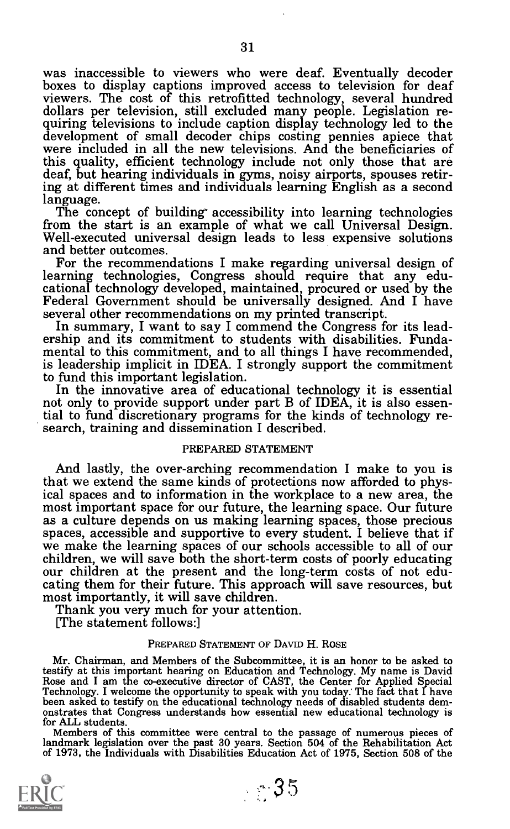was inaccessible to viewers who were deaf. Eventually decoder boxes to display captions improved access to television for deaf viewers. The cost of this retrofitted technology, several hundred dollars per television, still quiring televisions to include caption display technology led to the development of small decoder chips costing pennies apiece that were included in all the new televisions. And the beneficiaries of this quality, efficient deaf, but hearing individuals in gyms, noisy airports, spouses retiring at different times and individuals learning English as a second

The concept of building accessibility into learning technologies from the start is an example of what we call Universal Design. Well-executed universal design leads to less expensive solutions<br>and better outcomes.

For the recommendations I make regarding universal design of learning technologies, Congress should require that any edu-<br>cational technology developed, maintained, procured or used by the<br>Federal Government should be universally designed. And I have<br>several other recommendations on

In summary, I want to say I commend the Congress for its leadership and its commitment to students with disabilities. Fundamental to this commitment, and to all things I have recommended, is leadership implicit in IDEA. I

In the innovative area of educational technology it is essential not only to provide support under part B of IDEA, it is also essential to fund discretionary programs for the kinds of technology re- search, training and dissemination I described.

# PREPARED STATEMENT

And lastly, the over-arching recommendation I make to you is that we extend the same kinds of protections now afforded to physical spaces and to information in the workplace to a new area, the most important space for our future, the learning space. Our future as a culture depends on us making learning spaces, those precious spaces, accessible and supportive to every student. I believe that if we make the learning spaces of our schools accessible to all of our children, we will save both the short-term costs of poorly educating our children at the present and the long-term costs of not educating them for their f

#### PREPARED STATEMENT OF DAVID H. ROSE

Mr. Chairman, and Members of the Subcommittee, it is an honor to be asked to Rose and I am the co-executive director of CAST, the Center for Applied Special<br>Technology. I welcome the opportunity to speak with you today. The fact that I have<br>been asked to testify on the educational technology needs for ALL students.

Members of this committee were central to the passage of numerous pieces of landmark legislation over the past 30 years. Section 504 of the Rehabilitation Act of 1973, the Individuals with Disabilities Education Act of 1975, Section 508 of the

 $-35$ 

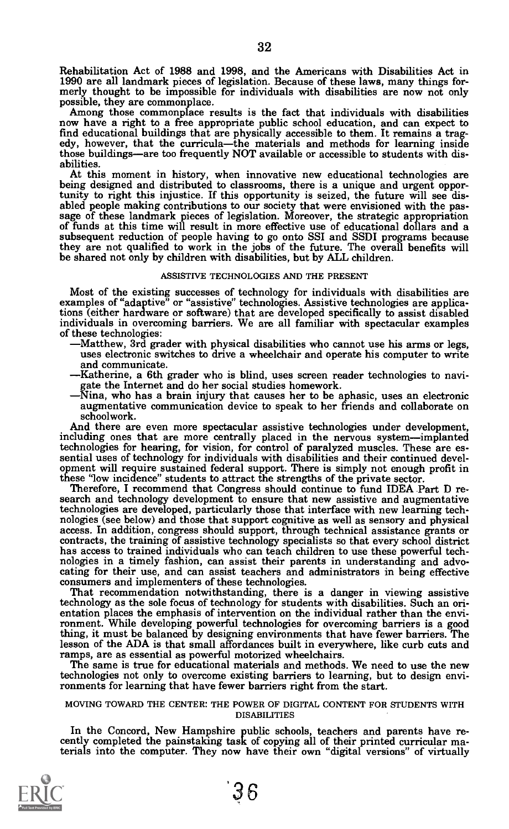Rehabilitation Act of 1988 and 1998, and the Americans with Disabilities Act in 1990 are all landmark pieces of legislation. Because of these laws, many things for- merly thought to be impossible for individuals with disabilities are now not only

possible, they are commonplace. Among those commonplace results is the fact that individuals with disabilities now have a right to a free appropriate public school education, and can expect to find educational buildings that are physically accessible to them. It remains a trag- edy, however, that the curriculathe materials and methods for learning inside those buildings—are too frequently NOT available or accessible to students with dis-<br>abilities. At this moment in history, when innovative new educational technologies are

being designed and distributed to classrooms, there is a unique and urgent oppor-<br>tunity to right this injustice. If this opportunity is seized, the future will see distunity to right this injustice. If this opportunity is seized, the future will see disabled people making contributions to our society that were envisioned with the passage of these landmark pieces of legislation. Moreover subsequent reduction of people having to go onto SSI and SSDI programs because<br>they are not qualified to work in the jobs of the future. The overall benefits will<br>be shared not only by children with disabilities, but by AL

#### ASSISTIVE TECHNOLOGIES AND THE PRESENT

Most of the existing successes of technology for individuals with disabilities are examples of "adaptive" or "assistive" technologies. Assistive technologies are applications (either hardware or software) that are developed specifically to assist disabled<br>individuals in overcoming barriers. We are all familiar with spectacular examples

- of these technologies:<br>—Matthew, 3rd grader with physical disabilities who cannot use his arms or legs,<br>uses electronic switches to drive a wheelchair and operate his computer to write and communicate.<br>-Katherine, a 6th grader who is blind, uses screen reader technologies to navi
	- gate the Internet and do her social studies homework.<br>Nina, who has a brain injury that causes her to be aphasic, uses an electronic
	- augmentative communication device to speak to her friends and collaborate on

schoolwork.<br>And there are even more spectacular assistive technologies under development, including ones that are more centrally placed in the nervous system-implanted technologies for hearing, for vision, for control of paralyzed muscles. These are essential uses of technology for individuals with disabilities and their continued development will require sustained federal support. There

Therefore, I recommend that Congress should continue to fund IDEA Part D research and technology development to ensure that new assistive and augmentative technologies are developed, particularly those that interface with nologies (see below) and those that support cognitive as well as sensory and physical access. In addition, congress should support, through technical assistance grants or contracts, the training of assistive technology spe

That recommendation notwithstanding, there is a danger in viewing assistive technology as the sole focus of technology for students with disabilities. Such an ori- entation places the emphasis of intervention on the individual rather than the environment. While developing powerful technologies for overcoming barriers is a good thing, it must be balanced by designing environments that have fewer barriers. The lesson of the ADA is that small affordances built in everywhere, like curb cuts and ramps, are as essential as powerful motorized wheelchairs.

The same is true for educational materials and methods. We need to use the new technologies not only to overcome existing barriers to learning, but to design envi- ronments for learning that have fewer barriers right from the start.

# MOVING TOWARD THE CENTER: THE POWER OF DIGITAL CONTENT FOR STUDENTS WITH DISABILITIES

In the Concord, New Hampshire public schools, teachers and parents have recently completed the painstaking task of copying all of their printed curricular materials into the computer. They now have their own "digital versi

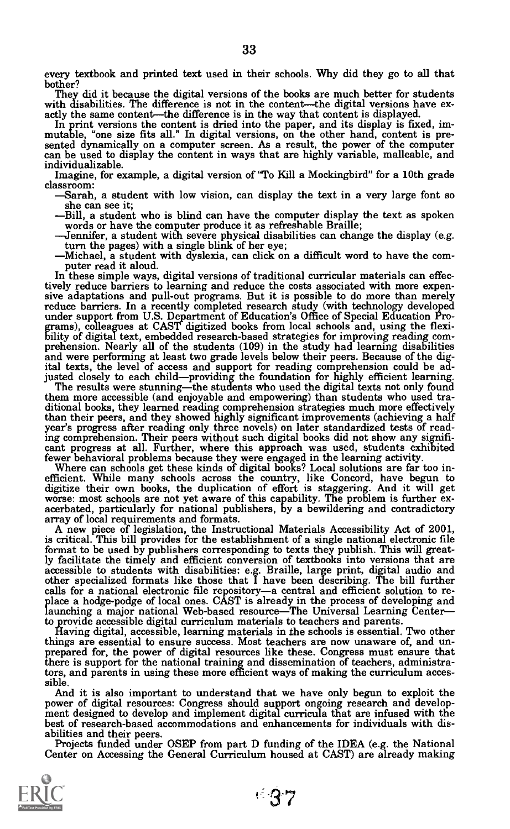every textbook and printed text used in their schools. Why did they go to all that bother?<br>They did it because the digital versions of the books are much better for students

with disabilities. The difference is not in the content—the digital versions have exactly the same content—the difference is in the way that content is displayed. In print versions the content is dried into the paper, and individualizable.

Imagine, for example, a digital version of "To Kill a Mockingbird" for a 10th grade classroom:

- Sarah, a student with low vision, can display the text in a very large font so she can see it;
- 
- 
- 

-Bill, a student who is blind can have the computer display the text as spoken<br>words or have the computer produce it as refreshable Braille;<br>-Jennifer, a student with severe physical disabilities can change the display (e. sive adaptations and pull-out programs. But it is possible to do more than merely reduce barriers. In a recently completed research study (with technology developed From U.S. Department of Education's Office of Special Education Programs), colleagues at CAST digitized books from local schools and, using the flexibility of digital text, embedded research-based strategies for improving ital texts, the level of access and support for reading comprehension could be adjusted closely to each child—providing the foundation for highly efficient learning.<br>The results were stunning—the students who used the digi

them more accessible (and enjoyable and empowering) than students who used traditional books, they learned reading comprehension strategies much more effectively than their peers, and they showed highly significant improve ing comprehension. Their peers without such digital books did not show any signifi- cant progress at all. Further, where this approach was used, students exhibited

fewer behavioral problems because they were engaged in the learning activity.<br>Where can schools get these kinds of digital books? Local solutions are far too in-<br>efficient. While many schools across the country, like Conco efficient. While many schools across the country, like Concord, have begun to digitize their own books, the duplication of effort is staggering. And it will get worse: most schools are not yet aware of this capability. The

A new piece of legislation, the Instructional Materials Accessibility Act of 2001, is critical. This bill provides for the establishment of a single national electronic file format to be used by publishers corresponding to texts they publish. This will great-<br>ly facilitate the timely and efficient conversion of textbooks into versions that are disabilities: e.g. Braille, large print, digital audio and other specialized formats like those that I have been describing. The bill further other specialized formats like those that I have been describing. The bill further<br>calls for a national electronic file repository—a central and efficient solution to re-<br>place a hodge-podge of local ones. CAST is already launching a major national Web-based resource—The Universal Learning Center—

to provide accessible digital curriculum materials to teachers and parents. Having digital, accessible, learning materials in the schools is essential. Two other prepared for, the power of digital resources like these. Congress must ensure that there is support for the national training and dissemination of teachers, administra-tors, and parents in using these more efficient ways of making the curriculum accessible.<br>And it is also important to understand that we have only begun to exploit the

power of digital resources: Congress should support ongoing research and development designed to develop and implement digital curricula that are infused with the best of research-based accommodations and enhancements for

abilities and their peers.<br>Projects funded under OSEP from part D funding of the IDEA (e.g. the National Center on Accessing the General Curriculum housed at CAST) are already making



 $-37$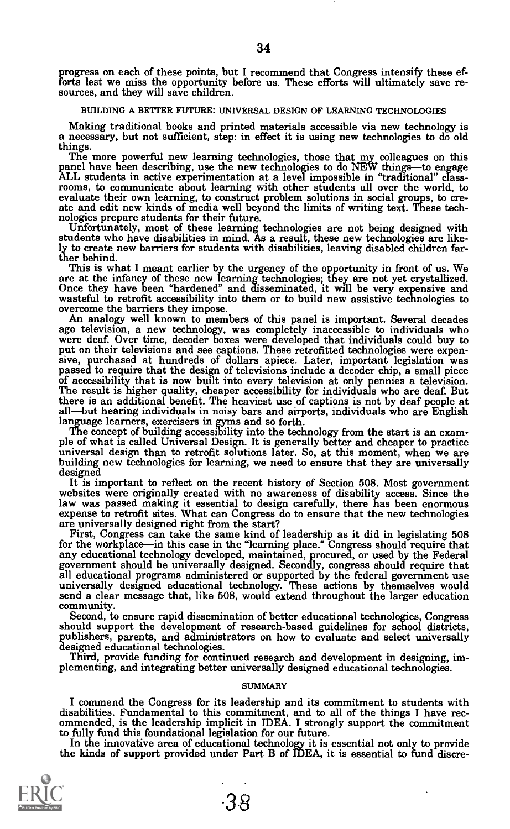progress on each of these points, but I recommend that Congress intensify these ef-<br>forts lest we miss the opportunity before us. These efforts will ultimately save re-<br>sources, and they will save children.

#### BUILDING A BETTER FUTURE: UNIVERSAL DESIGN OF LEARNING TECHNOLOGIES

Making traditional books and printed materials accessible via new technology is a necessary, but not sufficient, step: in effect it is using new technologies to do old

The more powerful new learning technologies, those that my colleagues on this panel have been describing, use the new technologies to do NEW things—to engage ALL students in active experimentation at a level impossible in evaluate their own learning, to construct problem solutions in social groups, to create and edit new kinds of media well beyond the limits of writing text. These technologies prepare students for their future.<br>Infortunatel

ly to create new barriers for students with disabilities, leaving disabled children farther behind.

This is what I meant earlier by the urgency of the opportunity in front of us. We are at the infancy of these new learning technologies; they are not yet crystallized. Once they have been "hardened" and disseminated, it will be very expensive and wasteful to retrofit accessibility into them or to build new assistive technologies to overcome the barriers they impose.

An analogy well known to members of this panel is important. Several decades ago television, a new technology, was completely inaccessible to individuals who were deaf. Over time, decoder boxes were developed that individu sive, purchased at hundreds of dollars apiece. Later, important legislation was passed to require that the design of televisions include a decoder chip, a small piece of accessibility that is now built into every televisio there is an additional benefit. The heaviest use of captions is not by deaf people at all—but hearing individuals in noisy bars and airports, individuals who are English language learners, exercisers in gyms and so forth.

The concept of building accessibility into the technology from the start is an example of what is called Universal Design. It is generally better and cheaper to practice universal design than to retrofit solutions later. S designed<br>It is important to reflect on the recent history of Section 508. Most government

websites were originally created with no awareness of disability access. Since the law was passed making it essential to design carefully, there has been enormous expense to retrofit sites. What can Congress do to ensure that the new technologies are universally designed right from the start?<br>First, Cong

for the workplace—in this case in the "learning place." Congress should require that<br>any educational technology developed, maintained, procured, or used by the Federal<br>government should be universally designed. Secondly, c

community.<br>Second, to ensure rapid dissemination of better educational technologies, Congress<br>should support the development of research-based guidelines for school districts,<br>publishers, parents, and administrators on how

Third, provide funding for continued research and development in designing, im-<br>plementing, and integrating better universally designed educational technologies.

#### **SUMMARY**

I commend the Congress for its leadership and its commitment to students with disabilities. Fundamental to this commitment, and to all of the things I have recommended, is the leadership implicit in IDEA. I strongly suppor

In the innovative area of educational technology it is essential not only to provide. the kinds of support provided under Part B of IDEA, it is essential to fund discre-

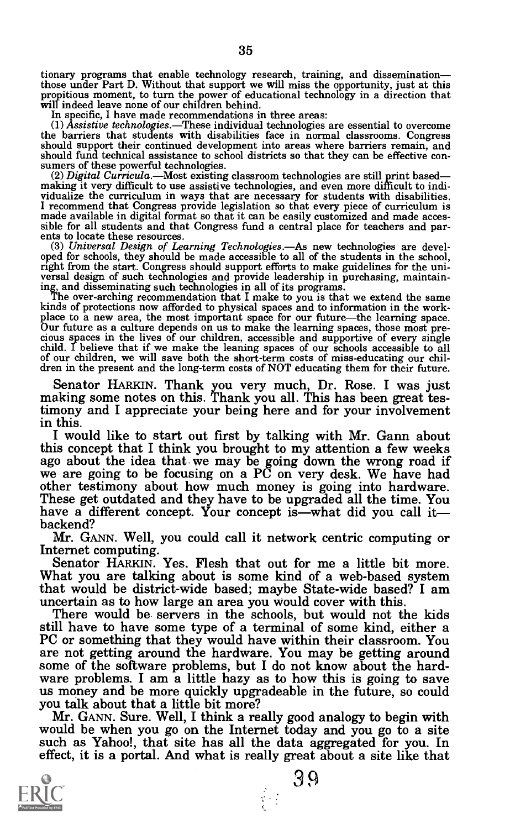tionary programs that enable technology research, training, and dissemination—<br>those under Part D. Without that support we will miss the opportunity, just at this propitious moment, to turn the power of educational technology in a direction that will indeed leave none of our children behind.

In specific, I have made recommendations in three areas:<br>(1) Assistive technologies.—These individual technologies are essential to overcome the barriers that students with disabilities face in normal classrooms. Congress should support their continued development into areas where barriers remain, and<br>should fund technical assistance to school districts so that they can be effective con-

sumers of these powerful technologies.<br>
(2) *Digital Curricula* .—Most existing classroom technologies are still print based—<br>
making it very difficult to use assistive technologies, and even more difficult to indi-<br>
maki

oped for schools, they should be made accessible to all of the students in the school, right from the start. Congress should support efforts to make guidelines for the universal design of such technologies and provide lead

ing, and disseminating such technologies in all of its programs.<br>The over-arching recommendation that I make to you is that we extend the same<br>kinds of protections now afforded to physical spaces and to information in the place to a new area, the most important space for our future—the learning space.<br>Our future as a culture depends on us to make the learning spaces, those most pre-<br>cious spaces in the lives of our children, accessible and

Senator HARKIN. Thank you very much, Dr. Rose. I was just making some notes on this. Thank you all. This has been great testimony and I appreciate your being here and for your involvement in this.

I would like to start out first by talking with Mr. Gann about ago about the idea that we may be going down the wrong road if we are going to be focusing on a PC on very desk. We have had other testimony about how much money is going into hardware.<br>These get outdated and they have to be upgraded all the time. You have a different concept. Your concept is—what did you call it—<br>backend?

Mr. GANN. Well, you could call it network centric computing or Internet computing.

Senator HARKIN. Yes. Flesh that out for me a little bit more. What you are talking about is some kind of a web-based system that would be district-wide based; maybe State-wide based? I am

There would be servers in the schools, but would not the kids still have to have some type of a terminal of some kind, either a still have to have some type of a terminal of some kind, either a PC or something that they would have within their classroom. You are not getting around the hardware. You may be getting around some of the software problems, but I do not know about the hard-<br>ware problems. I am a little hazy as to how this is going to save<br>us money and be more quickly upgradeable in the future, so could<br>you talk about that a litt

Mr. GANN. Sure. Well, I think a really good analogy to begin with would be when you go on the Internet today and you go to a site such as Yahoo!, that site has all the data aggregated for you. In effect, it is a portal. And what is really great about a site like that



3 9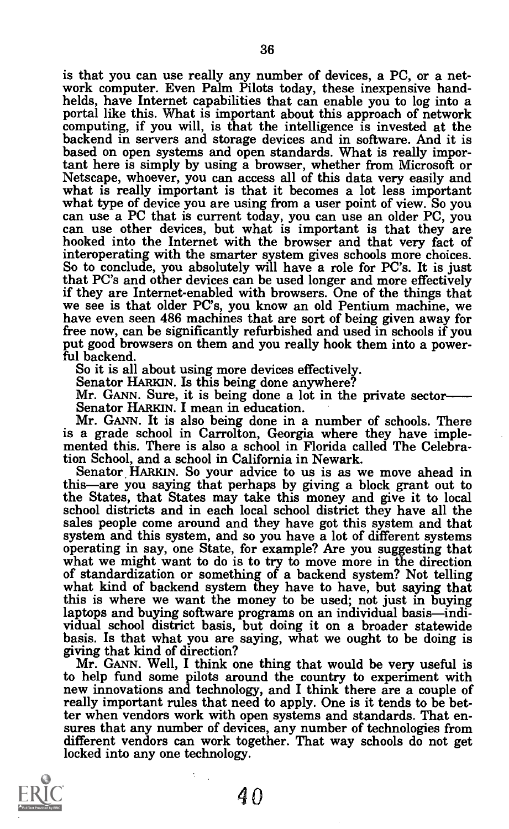is that you can use really any number of devices, a PC, or a net-<br>work computer. Even Palm Pilots today, these inexpensive hand-<br>helds, have Internet capabilities that can enable you to log into a<br>portal like this. What is computing, if you will, is that the intelligence is invested at the backend in servers and storage devices and in software. And it is based on open systems and open standards. What is really important here is simply by usi Netscape, whoever, you can access all of this data very easily and<br>what is really important is that it becomes a lot less important<br>what type of device you are using from a user point of view. So you can use a PC that is current today, you can use an older PC, you hooked into the Internet with the browser and that very fact of interoperating with the smarter system gives schools more choices. So to conclude, you absolutely will have a role for PC's. It is just that PC's and other devices can be used longer and more effectively we see is that older PC's, you know an old Pentium machine, we have even seen 486 machines that are sort of being given away for free now, can be significantly refurbished and used in schools if you put good browsers on them and you really hook them into a powerful backend.<br>So it is all about using more devices effectively.

Senator HARKIN. Is this being done anywhere?<br>Mr. GANN. Sure, it is being done a lot in the private sector<br>Senator HARKIN. I mean in education.

Mr. GANN. It is also being done in a number of schools. There is a grade school in Carrolton, Georgia where they have imple- mented this. There is also a school in Florida called The Celebration School, and a school in California in Newark.

Senator. HARKIN. So your advice to us is as we move ahead in this—are you saying that perhaps by giving a block grant out to the States, that States may take this money and give it to local school districts and in each local school district they have all the system and this system, and so you have a lot of different systems operating in say, one State, for example? Are you suggesting that what we might want to do is to try to move more in the direction of standardization or something of a backend system? Not telling what kind of backend system they have to have, but saying that this is where we want the money to be used; not just in buying laptops and buying software pr vidual school district basis, but doing it on a broader statewide basis. Is that what you are saying, what we ought to be doing is giving that kind of direction?

Mr. GANN. Well, I think one thing that would be very useful is to help fund some pilots around the country to experiment with new innovations and technology, and I think there are a couple of really important rules that need to apply. One is it tends to be better when vendors work with open systems and standards. That en- sures that any number of devices, any number of technologies from different vendors can work together. That way schools do not get locked into any one technology.

4 0

ţ

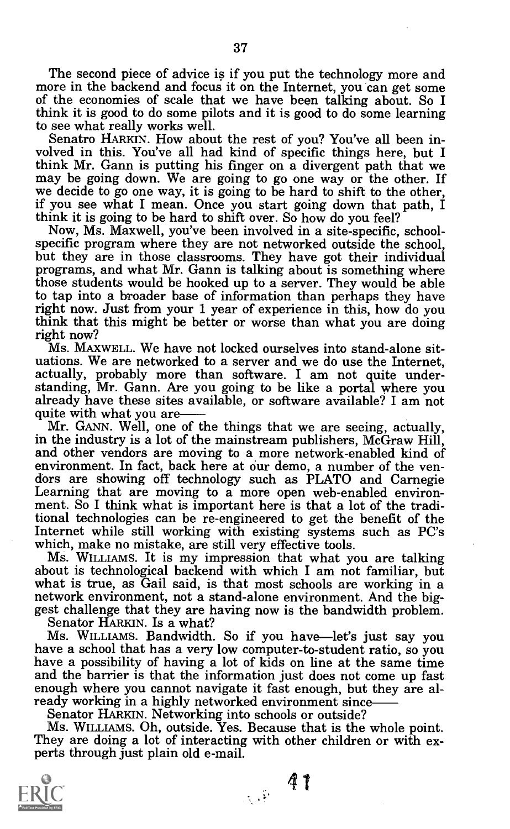The second piece of advice is if you put the technology more and more in the backend and focus it on the Internet, you can get some of the economies of scale that we have been talking about. So I think it is good to do some pilots and it is good to do some learning

Senatro HARKIN. How about the rest of you? You've all been in-<br>volved in this. You've all had kind of specific things here, but I<br>think Mr. Gann is putting his finger on a divergent path that we may be going down. We are going to go one way or the other. If<br>we decide to go one way, it is going to be hard to shift to the other,<br>if you see what I mean. Once you start going down that path, I<br>think it is going to be h

Now, Ms. Maxwell, you've been involved in a site-specific, school-<br>specific program where they are not networked outside the school,<br>but they are in those classrooms. They have got their individual<br>programs, and what Mr. G those students would be hooked up to a server. They would be able to tap into a broader base of information than perhaps they have right now. Just from your 1 year of experience in this, how do you think that this might be better or worse than what you are doing right now?

MS. MAXWELL. We have not locked ourselves into stand-alone sitactually, probably more than software. I am not quite under-<br>standing, Mr. Gann. Are you going to be like a portal where you<br>already have these sites available, or software available? I am not

quite with what you are——<br>Mr. GANN. Well, one of the things that we are seeing, actually,<br>in the industry is a lot of the mainstream publishers, McGraw Hill,<br>and other vendors are moving to a more network-enabled kind of<br>e tional technologies can be re-engineered to get the benefit of the

which, make no mistake, are still very effective tools.<br>Ms. WILLIAMS. It is my impression that what you are talking<br>about is technological backend with which I am not familiar, but what is true, as Gail said, is that most schools are working in a network environment, not a stand-alone environment. And the biggest challenge that they are having now is the bandwidth problem.

Senator HARKIN. IS a what?

Ms. WILLIAMS. Bandwidth. So if you have—let's just say you have a school that has a very low computer-to-student ratio, so you have a possibility of having a lot of kids on line at the same time<br>and the barrier is that the information just does not come up fast<br>enough where you cannot navigate it fast enough, but they are al-<br>ready working in a hi

Ms. WILLIAMS. Oh, outside. Yes. Because that is the whole point. They are doing a lot of interacting with other children or with experts through just plain old e-mail.

 $\sqrt{\hat{Y}}$  .



4?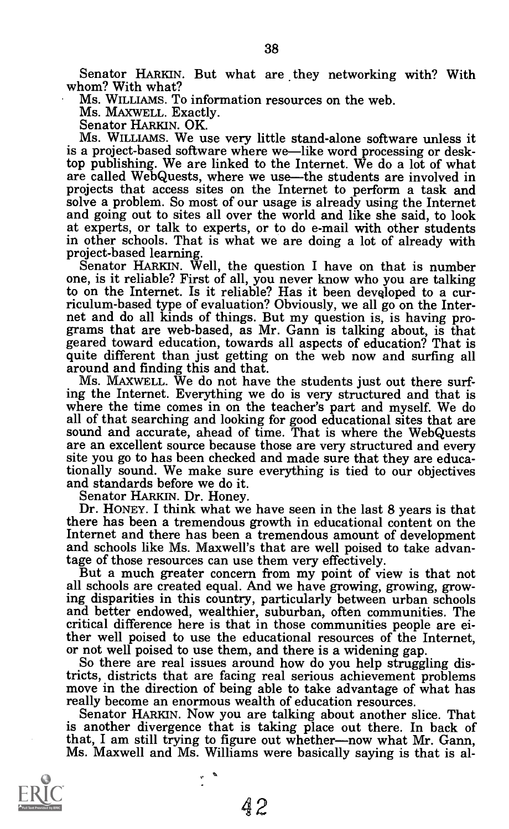Senator HARKIN. But what are they networking with? With whom? With what?

MS. WILLIAMS. To information resources on the web.

Ms. MAXWELL. Exactly.

Senator HARKIN. OK.<br>Ms. WILLIAMS. We use very little stand-alone software unless it is a project-based software where we—like word processing or desk-<br>top publishing. We are linked to the Internet. We do a lot of what are called WebQuests, where we use—the students are involved in projects that access sites on the Internet to perform a task and solve a problem. So most of our usage is already using the Internet and going out to sites all over the world and like she said, to look at experts, or talk to experts, or to do e-mail with other students in other schools. That is what we are doing a lot of already with

Senator HARKIN. Well, the question I have on that is number one, is it reliable? First of all, you never know who you are talking to on the Internet. Is it reliable? Has it been devgloped to a curnet and do all kinds of things. But my question is, is having programs that are web-based, as Mr. Gann is talking about, is that geared toward education, towards all aspects of education? That is quite different than just

Ms. MAXWELL. We do not have the students just out there surfing the Internet. Everything we do is very structured and that is where the time comes in on the teacher's part and myself. We do all of that searching and looking for good educational sites that are sound and accurate, ahead of time. That is where the WebQuests are an excellent source because those are very structured and every site you go to has been checked and made sure that they are educationally sound. We make sure everything is tied to our objectives and standards before we do it.

Dr. HONEY. I think what we have seen in the last 8 years is that there has been a tremendous growth in educational content on the Internet and there has been a tremendous amount of development and schools like Ms. Maxwell's that are well poised to take advan-<br>tage of those resources can use them very effectively.

But a much greater concern from my point of view is that not all schools are created equal. And we have growing, growing, growing disparities in this country, particularly between urban schools and better endowed, wealthier, suburban, often communities. The critical difference here is that in those communities people are ei-

or not well poised to use them, and there is a widening gap.<br>So there are real issues around how do you help struggling dis-<br>tricts, districts that are facing real serious achievement problems move in the direction of being able to take advantage of what has<br>really become an enormous wealth of education resources.

Senator HARKIN. Now you are talking about another slice. That is another divergence that is taking place out there. In back of that, I am still trying to figure out whether—now what Mr. Gann, Ms. Maxwell and Ms. Williams were basically saying is that is al-

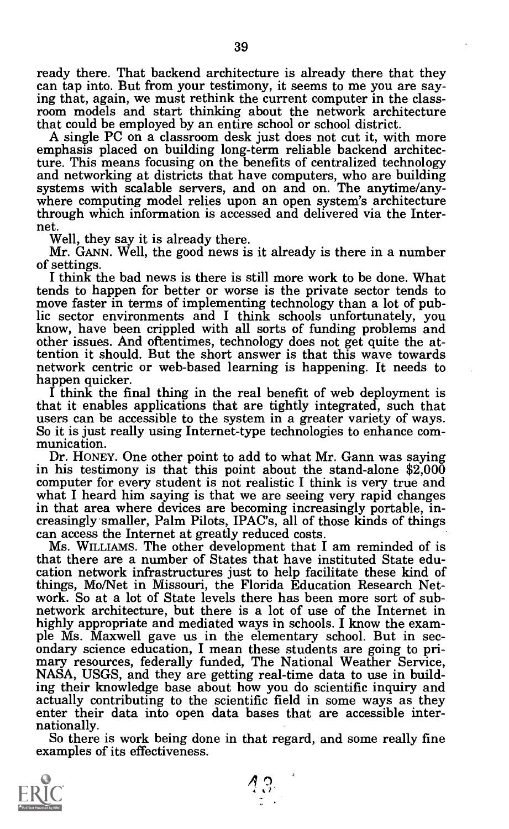ready there. That backend architecture is already there that they can tap into. But from your testimony, it seems to me you are say-<br>ing that, again, we must rethink the current computer in the classroom models and start thinking about the network architecture that could be employed by an entire school or school district.

A single PC on a classroom desk just does not cut it, with more emphasis placed on building long-term reliable backend architecture. This means focusing on the benefits of centralized technology and networking at districts that have computers, who are building systems with scalable servers, and on and on. The anytime/any- where computing model relies upon an open system's architecture where computing model relies upon an open system's architecture through which information is accessed and delivered via the Inter-

net.<br>Well, they say it is already there.

Mr. GANN. Well, the good news is it already is there in a number<br>of settings.<br>I think the bad news is there is still more work to be done. What

tends to happen for better or worse is the private sector tends to move faster in terms of implementing technology than a lot of public sector environments and I think schools unfortunately, you know, have been crippled with all sorts of funding problems and other issues. And oftentimes, technology does not get quite the attention it should. But the short answer is that this wave towards network centric or web-based learning is happening. It needs to

I think the final thing in the real benefit of web deployment is that it enables applications that are tightly integrated, such that users can be accessible to the system in a greater variety of ways. So it is just really using Internet-type technologies to enhance com- munication.

Dr. HONEY. One other point to add to what Mr. Gann was saying in his testimony is that this point about the stand-alone \$2,000 what I heard him saying is that we are seeing very rapid changes<br>in that area where devices are becoming increasingly portable, inin that area where devices are becoming increasingly portable, increasingly smaller, Palm Pilots, IPAC's, all of those kinds of things can access the Internet at greatly reduced costs.<br>Ms. WILLIAMS. The other development t

that there are a number of States that have instituted State education network infrastructures just to help facilitate these kind of things, Mo/Net in Missouri, the Florida Education Research Net- work. So at a lot of State levels there has been more sort of subnetwork architecture, but there is a lot of use of the Internet in highly appropriate and mediated ways in schools. I know the example Ms. Maxwell gave us in the elementary school. But in secondary science education, I mean these students are going to primary resources, federally funded, The National Weather Service, NASA, USGS, and they are getting r ing their knowledge base about how you do scientific inquiry and actually contributing to the scientific field in some ways as they

nationally.<br>So there is work being done in that regard, and some really fine examples of its effectiveness.

ြ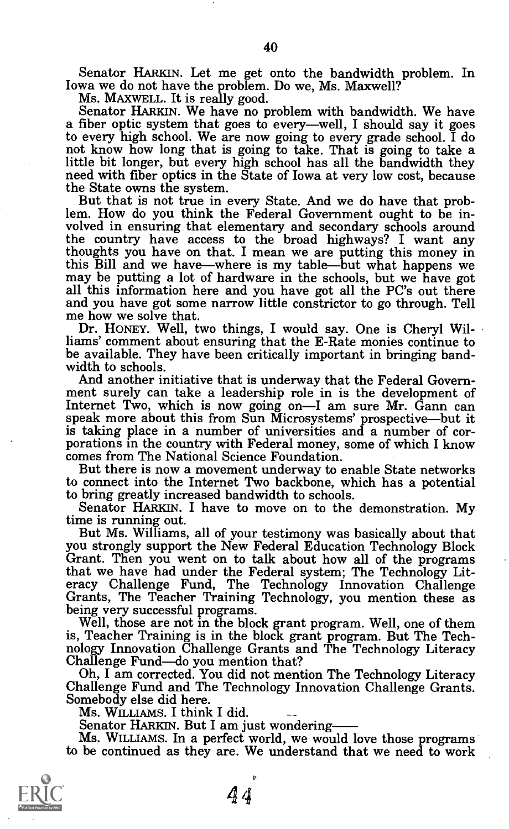Senator HARKIN. Let me get onto the bandwidth problem. In Iowa we do not have the problem. Do we, Ms. Maxwell?<br>Ms. MAxwell. It is really good.

Senator HARKIN. We have no problem with bandwidth. We have a fiber optic system that goes to every—well, I should say it goes to every high school. We are now going to every grade school. I do not know how long that is going to take. That is going to take a little bit longer, but every high school has all the bandwidth they need with fiber optics in the State of Iowa at very low cost, because

But that is not true in every State. And we do have that prob-<br>lem. How do you think the Federal Government ought to be involved in ensuring that elementary and secondary schools around the country have access to the broad highways? I want any thoughts you have on that. I mean we are putting this money in this Bill and we have—where is my table—but what happens we may be putting a lot of hardware in the schools, but we have got all this information here and you have got all the PC's out there and you have got some narrow little constrictor to go through. Tell me how we solve that.

Dr. HONEY. Well, two things, I would say. One is Cheryl Williams' comment about ensuring that the E-Rate monies continue to be available. They have been critically important in bringing band-<br>width to schools.<br>And another initiative that is underway that the Federal Govern-

ment surely can take a leadership role in is the development of Internet Two, which is now going on—I am sure Mr. Gann can speak more about this from Sun Microsystems' prospective—but it is taking place in a number of universities and a number of cor-<br>porations in the country with Federal money, some of which I know comes from The National Science Foundation.

But there is now a movement underway to enable State networks to connect into the Internet Two backbone, which has a potential to bring greatly increased bandwidth to schools.

Senator HARKIN. I have to move on to the demonstration. My time is running out.

But Ms. Williams, all of your testimony was basically about that you strongly support the New Federal Education Technology Block Grant. Then you went on to talk about how all of the programs that we have had under the Fede eracy Challenge Fund, The Technology Innovation Challenge<br>Grants, The Teacher Training Technology, you mention these as<br>being very successful programs.<br>Well, those are not in the block grant program. Well, one of them

is, Teacher Training is in the block grant program. But The Technology Innovation Challenge Grants and The Technology Literacy Challenge Fund—do you mention that?<br>Oh, I am corrected. You did not mention The Technology Lite

MS. WILLIAMS. I think I did.

Senator HARKIN. But I am just wondering

MS. WILLIAMS. In a perfect world, we would love those programs to be continued as they are. We understand that we need to work

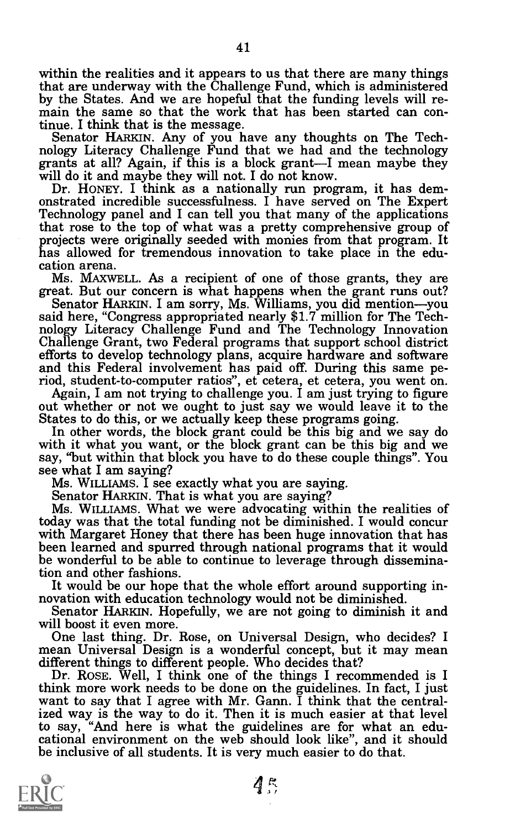within the realities and it appears to us that there are many things that are underway with the Challenge Fund, which is administered by the States. And we are hopeful that the funding levels will re-<br>main the same so that the work that has been started can con-<br>tinue. I think that is the message.

Senator HARKIN. Any of you have any thoughts on The Technology Literacy Challenge Fund that we had and the technology grants at all? Again, if this is a block grant—I mean maybe they will do it and maybe they will not. I d projects were originally seeded with monies from that program. It has allowed for tremendous innovation to take place in the edu-<br>cation arena. Ms. MAXWELL. As a recipient of one of those grants, they are

great. But our concern is what happens when the grant runs out?<br>Senator HARKIN. I am sorry, Ms. Williams, you did mention—you<br>said here, "Congress appropriated nearly \$1.7 million for The Technology Literacy Challenge Fund and The Technology Innovation<br>Challenge Grant, two Federal programs that support school district<br>efforts to develop technology plans, acquire hardware and software<br>and this Federal involvemen

riod, student-to-computer ratios", et cetera, et cetera, you went on.<br>Again, I am not trying to challenge you. I am just trying to figure<br>out whether or not we ought to just say we would leave it to the<br>States to do this,

say, "but within that block you have to do these couple things". You see what I am saying?

Senator HARKIN. That is what you are saying?<br>Ms. WILLIAMS. What we were advocating within the realities of<br>today was that the total funding not be diminished. I would concur with Margaret Honey that there has been huge innovation that has<br>been learned and spurred through national programs that it would be wonderful to be able to continue to leverage through dissemination and other fashions.

It would be our hope that the whole effort around supporting in- novation with education technology would not be diminished. Senator HARKIN. Hopefully, we are not going to diminish it and will boost it even more.

One last thing. Dr. Rose, on Universal Design, who decides? I mean Universal Design is a wonderful concept, but it may mean

Dr. ROSE. Well, I think one of the things I recommended is I think more work needs to be done on the guidelines. In fact, I just want to say that I agree with Mr. Gann. I think that the central-<br>ized way is the way to do it. Then it is much easier at that level to say, "And here is what the guidelines are for what an edu-<br>cational environment on the web should look like", and it should<br>be inclusive of  $-1$  if  $\frac{1}{2}$ be inclusive of all students. It is very much easier to do that.



 $4<sup>o</sup>$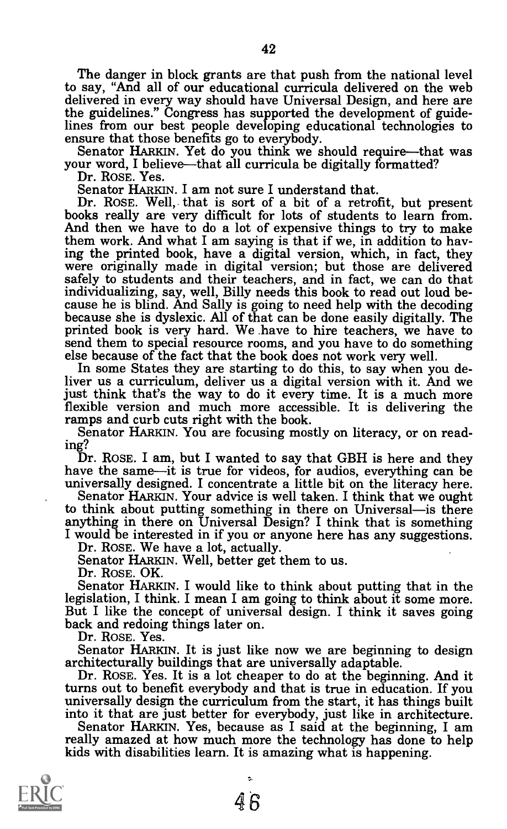The danger in block grants are that push from the national level to say, "And all of our educational curricula delivered on the web delivered in every way should have Universal Design, and here are the guidelines." Congress has supported the development of guidelines from our best people developing educational technologies to ensure that those benefits go to everybody.

Senator HARKIN. Yet do you think we should require—that was your word, I believe—that all curricula be digitally formatted? Dr. ROSE. Yes.

Senator HARKIN. I am not sure I understand that.<br>Dr. ROSE. Well, that is sort of a bit of a retrofit, but present books really are very difficult for lots of students to learn from.<br>And then we have to do a lot of expensive things to try to make them work. And what I am saying is that if we, in addition to having the printed book, have a digital version, which, in fact, they were originally made in digital version; but those are delivered safely to students and their teachers, and in fact, we can do that cause he is blind. And Sally is going to need help with the decoding<br>because she is dyslexic. All of that can be done easily digitally. The printed book is very hard. We have to hire teachers, we have to send them to special resource rooms, and you have to do something else because of the fact that the book does not work very well.

In some States they are starting to do this, to say when you deliver us a curriculum, deliver us a digital version with it. And we just think that's the way to do it every time. It is a much more flexible version and much more accessible. It is delivering the

Senator HARKIN. You are focusing mostly on literacy, or on reading?

Dr. ROSE. I am, but I wanted to say that GBH is here and they

have the same—it is true for videos, for audios, everything can be universally designed. I concentrate a little bit on the literacy here.<br>Senator HARKIN. Your advice is well taken. I think that we ought to think about putt anything in there on Universal Design? I think that is something

I would be interested in if you or anyone here has any suggestions. Dr. ROSE. We have a lot, actually. Senator HARKIN. Well, better get them to us. Dr. ROSE. OK.

Senator HARKIN. I would like to think about putting that in the legislation, I think. I mean I am going to think about it some more. But I like the concept of universal design. I think it saves going back and redoing things later on.

Dr. ROSE. Yes.

Senator HARKIN. It is just like now we are beginning to design architecturally buildings that are universally adaptable.

Dr. ROSE. Yes. It is a lot cheaper to do at the beginning. And it turns out to benefit everybody and that is true in education. If you universally design the curriculum from the start, it has things built into it that are just better for everybody, just like in architecture. Senator HARKIN. Yes, because as I said at the beginning, I am

really amazed at how much more the technology has done to help kids with disabilities learn. It is amazing what is happening.

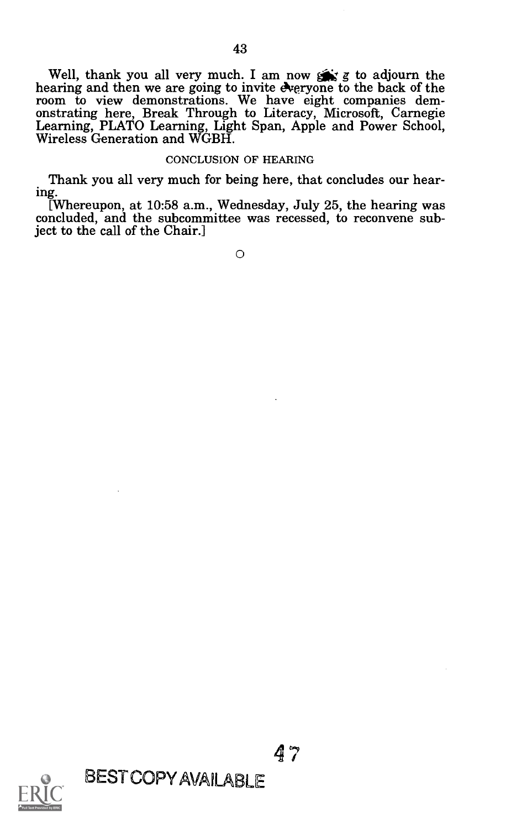Well, thank you all very much. I am now  $\sum x$  g to adjourn the hearing and then we are going to invite Areryone to the back of the room to view demonstrations. We have eight companies demroom to view demonstrations. We have eight companies dem-<br>onstrating here, Break Through to Literacy, Microsoft, Carnegie<br>Learning, PLATO Learning, Light Span, Apple and Power School,<br>Wireless Generation and WGBH.

# CONCLUSION OF HEARING

Thank you all very much for being here, that concludes our hear-

ing.[Whereupon, at 10:58 a.m., Wednesday, July 25, the hearing was concluded, and the subcommittee was recessed, to reconvene subject to the call of the Chair.]

0



BEST COPY AVAILABLE